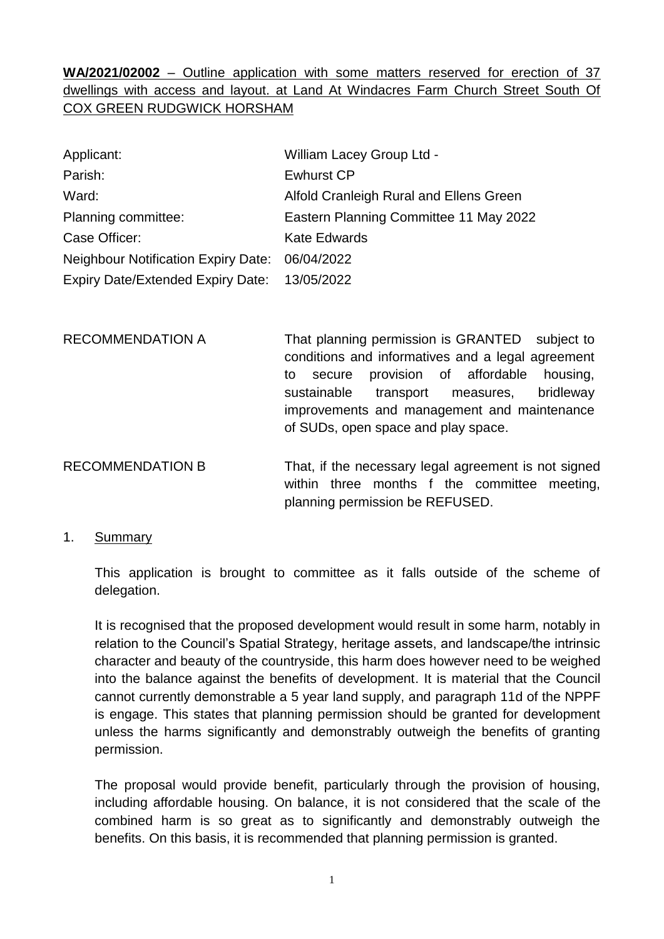**WA/2021/02002** – Outline application with some matters reserved for erection of 37 dwellings with access and layout. at Land At Windacres Farm Church Street South Of COX GREEN RUDGWICK HORSHAM

| Applicant:                                     | <b>William Lacey Group Ltd -</b>        |
|------------------------------------------------|-----------------------------------------|
| Parish:                                        | <b>Ewhurst CP</b>                       |
| Ward:                                          | Alfold Cranleigh Rural and Ellens Green |
| Planning committee:                            | Eastern Planning Committee 11 May 2022  |
| Case Officer:                                  | <b>Kate Edwards</b>                     |
| Neighbour Notification Expiry Date: 06/04/2022 |                                         |
| Expiry Date/Extended Expiry Date: 13/05/2022   |                                         |

RECOMMENDATION A That planning permission is GRANTED subject to conditions and informatives and a legal agreement to secure provision of affordable housing, sustainable transport measures, bridleway improvements and management and maintenance of SUDs, open space and play space.

RECOMMENDATION B That, if the necessary legal agreement is not signed within three months f the committee meeting, planning permission be REFUSED.

## 1. Summary

This application is brought to committee as it falls outside of the scheme of delegation.

It is recognised that the proposed development would result in some harm, notably in relation to the Council's Spatial Strategy, heritage assets, and landscape/the intrinsic character and beauty of the countryside, this harm does however need to be weighed into the balance against the benefits of development. It is material that the Council cannot currently demonstrable a 5 year land supply, and paragraph 11d of the NPPF is engage. This states that planning permission should be granted for development unless the harms significantly and demonstrably outweigh the benefits of granting permission.

The proposal would provide benefit, particularly through the provision of housing, including affordable housing. On balance, it is not considered that the scale of the combined harm is so great as to significantly and demonstrably outweigh the benefits. On this basis, it is recommended that planning permission is granted.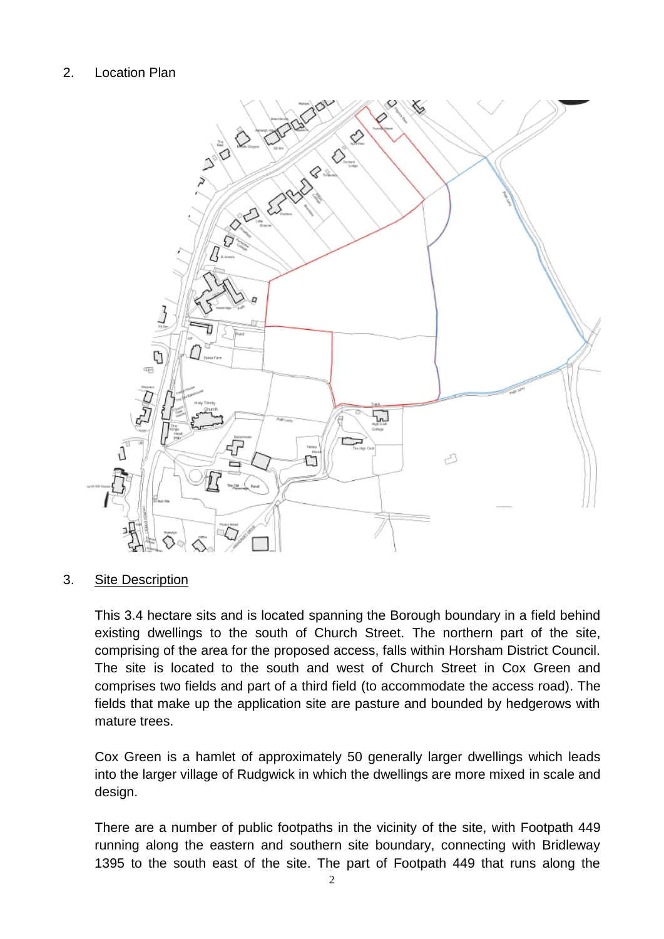# 2. Location Plan



## 3. Site Description

This 3.4 hectare sits and is located spanning the Borough boundary in a field behind existing dwellings to the south of Church Street. The northern part of the site, comprising of the area for the proposed access, falls within Horsham District Council. The site is located to the south and west of Church Street in Cox Green and comprises two fields and part of a third field (to accommodate the access road). The fields that make up the application site are pasture and bounded by hedgerows with mature trees.

Cox Green is a hamlet of approximately 50 generally larger dwellings which leads into the larger village of Rudgwick in which the dwellings are more mixed in scale and design.

There are a number of public footpaths in the vicinity of the site, with Footpath 449 running along the eastern and southern site boundary, connecting with Bridleway 1395 to the south east of the site. The part of Footpath 449 that runs along the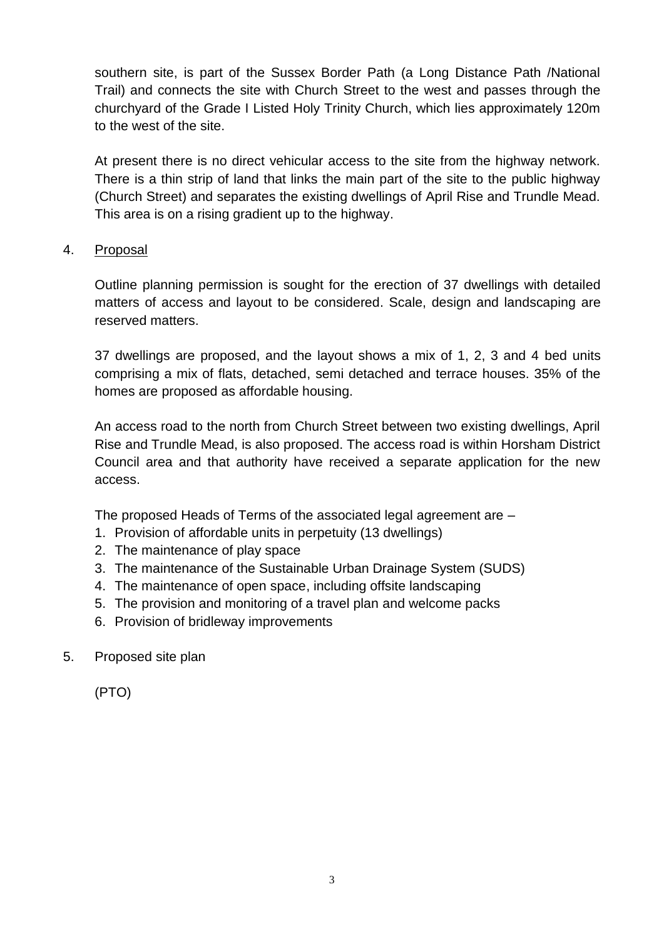southern site, is part of the Sussex Border Path (a Long Distance Path /National Trail) and connects the site with Church Street to the west and passes through the churchyard of the Grade I Listed Holy Trinity Church, which lies approximately 120m to the west of the site.

At present there is no direct vehicular access to the site from the highway network. There is a thin strip of land that links the main part of the site to the public highway (Church Street) and separates the existing dwellings of April Rise and Trundle Mead. This area is on a rising gradient up to the highway.

# 4. Proposal

Outline planning permission is sought for the erection of 37 dwellings with detailed matters of access and layout to be considered. Scale, design and landscaping are reserved matters.

37 dwellings are proposed, and the layout shows a mix of 1, 2, 3 and 4 bed units comprising a mix of flats, detached, semi detached and terrace houses. 35% of the homes are proposed as affordable housing.

An access road to the north from Church Street between two existing dwellings, April Rise and Trundle Mead, is also proposed. The access road is within Horsham District Council area and that authority have received a separate application for the new access.

The proposed Heads of Terms of the associated legal agreement are –

- 1. Provision of affordable units in perpetuity (13 dwellings)
- 2. The maintenance of play space
- 3. The maintenance of the Sustainable Urban Drainage System (SUDS)
- 4. The maintenance of open space, including offsite landscaping
- 5. The provision and monitoring of a travel plan and welcome packs
- 6. Provision of bridleway improvements
- 5. Proposed site plan

(PTO)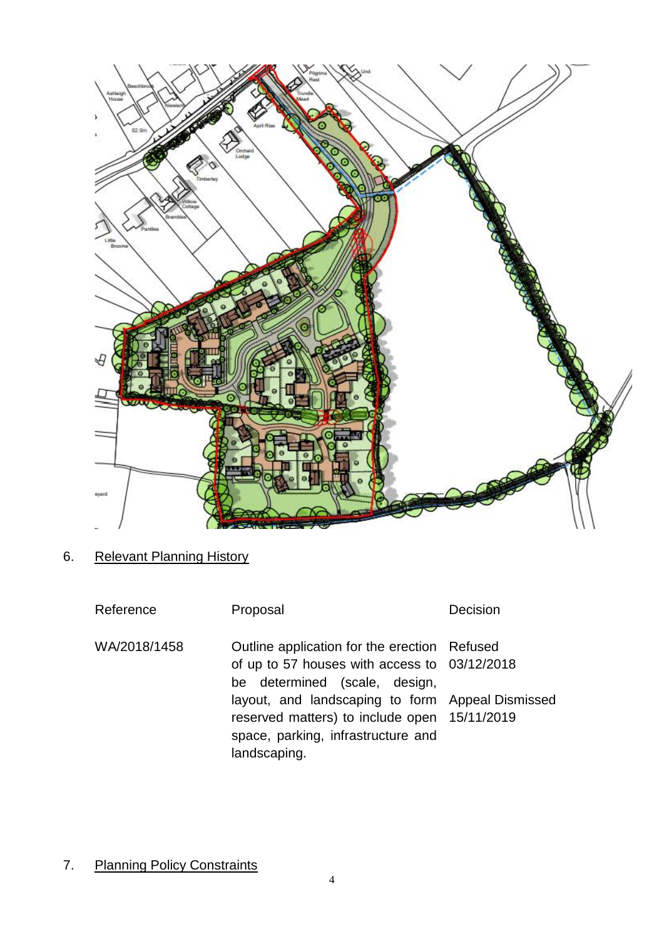

6. Relevant Planning History

| Reference    | Proposal                                                                                                                                                                                                                                                                                | Decision |
|--------------|-----------------------------------------------------------------------------------------------------------------------------------------------------------------------------------------------------------------------------------------------------------------------------------------|----------|
| WA/2018/1458 | Outline application for the erection Refused<br>of up to 57 houses with access to 03/12/2018<br>be determined (scale, design,<br>layout, and landscaping to form Appeal Dismissed<br>reserved matters) to include open 15/11/2019<br>space, parking, infrastructure and<br>landscaping. |          |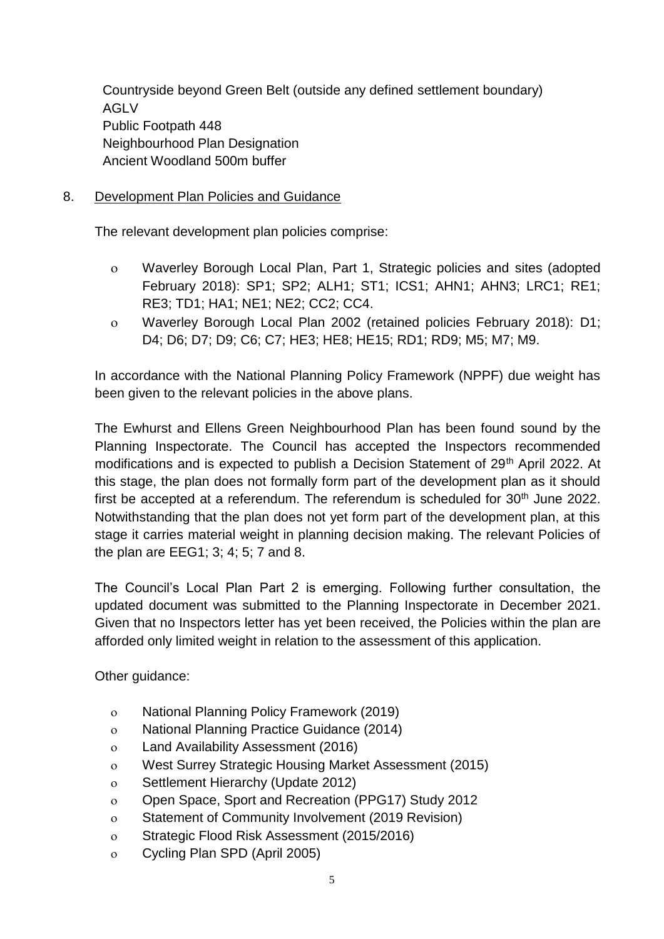Countryside beyond Green Belt (outside any defined settlement boundary) AGLV Public Footpath 448 Neighbourhood Plan Designation Ancient Woodland 500m buffer

# 8. Development Plan Policies and Guidance

The relevant development plan policies comprise:

- Waverley Borough Local Plan, Part 1, Strategic policies and sites (adopted February 2018): SP1; SP2; ALH1; ST1; ICS1; AHN1; AHN3; LRC1; RE1; RE3; TD1; HA1; NE1; NE2; CC2; CC4.
- Waverley Borough Local Plan 2002 (retained policies February 2018): D1; D4; D6; D7; D9; C6; C7; HE3; HE8; HE15; RD1; RD9; M5; M7; M9.

In accordance with the National Planning Policy Framework (NPPF) due weight has been given to the relevant policies in the above plans.

The Ewhurst and Ellens Green Neighbourhood Plan has been found sound by the Planning Inspectorate. The Council has accepted the Inspectors recommended modifications and is expected to publish a Decision Statement of 29<sup>th</sup> April 2022. At this stage, the plan does not formally form part of the development plan as it should first be accepted at a referendum. The referendum is scheduled for  $30<sup>th</sup>$  June 2022. Notwithstanding that the plan does not yet form part of the development plan, at this stage it carries material weight in planning decision making. The relevant Policies of the plan are EEG1; 3; 4; 5; 7 and 8.

The Council's Local Plan Part 2 is emerging. Following further consultation, the updated document was submitted to the Planning Inspectorate in December 2021. Given that no Inspectors letter has yet been received, the Policies within the plan are afforded only limited weight in relation to the assessment of this application.

Other guidance:

- National Planning Policy Framework (2019)
- National Planning Practice Guidance (2014)
- Land Availability Assessment (2016)
- West Surrey Strategic Housing Market Assessment (2015)
- o Settlement Hierarchy (Update 2012)
- Open Space, Sport and Recreation (PPG17) Study 2012
- Statement of Community Involvement (2019 Revision)
- Strategic Flood Risk Assessment (2015/2016)
- Cycling Plan SPD (April 2005)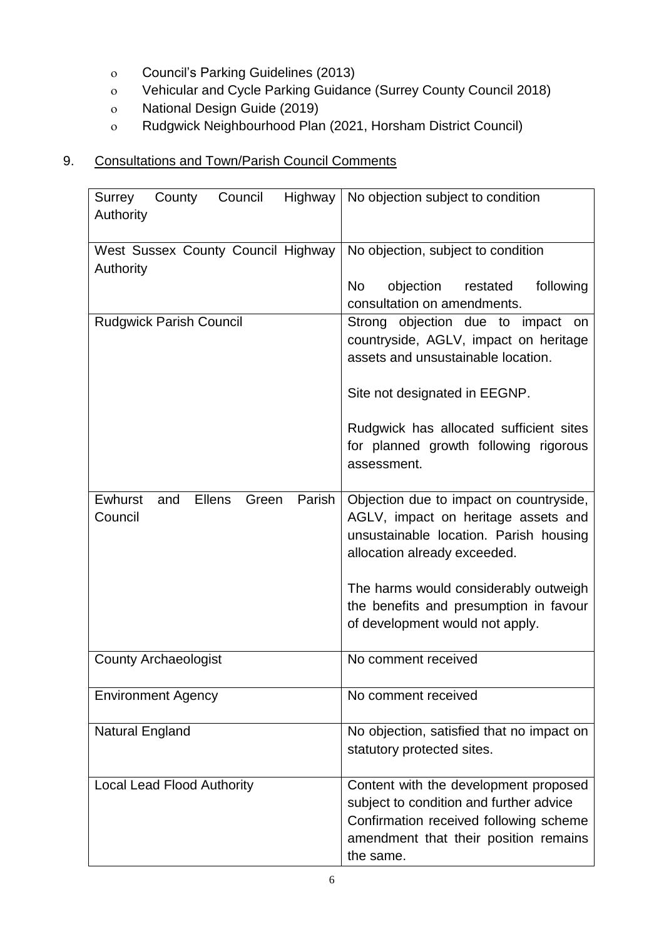- Council's Parking Guidelines (2013)
- Vehicular and Cycle Parking Guidance (Surrey County Council 2018)
- National Design Guide (2019)
- Rudgwick Neighbourhood Plan (2021, Horsham District Council)

# 9. Consultations and Town/Parish Council Comments

| County Council<br>Surrey<br>Authority                         | Highway   No objection subject to condition                                                                                                                                                       |  |  |  |
|---------------------------------------------------------------|---------------------------------------------------------------------------------------------------------------------------------------------------------------------------------------------------|--|--|--|
| West Sussex County Council Highway                            | No objection, subject to condition                                                                                                                                                                |  |  |  |
| Authority                                                     | objection restated<br>following<br>No<br>consultation on amendments.                                                                                                                              |  |  |  |
| <b>Rudgwick Parish Council</b>                                | Strong objection due to impact<br><b>on</b><br>countryside, AGLV, impact on heritage<br>assets and unsustainable location.<br>Site not designated in EEGNP.                                       |  |  |  |
|                                                               | Rudgwick has allocated sufficient sites<br>for planned growth following rigorous<br>assessment.                                                                                                   |  |  |  |
| Ewhurst<br><b>Ellens</b><br>Green<br>Parish<br>and<br>Council | Objection due to impact on countryside,<br>AGLV, impact on heritage assets and<br>unsustainable location. Parish housing<br>allocation already exceeded.<br>The harms would considerably outweigh |  |  |  |
|                                                               | the benefits and presumption in favour<br>of development would not apply.                                                                                                                         |  |  |  |
| <b>County Archaeologist</b>                                   | No comment received                                                                                                                                                                               |  |  |  |
| <b>Environment Agency</b>                                     | No comment received                                                                                                                                                                               |  |  |  |
| <b>Natural England</b>                                        | No objection, satisfied that no impact on<br>statutory protected sites.                                                                                                                           |  |  |  |
| <b>Local Lead Flood Authority</b>                             | Content with the development proposed<br>subject to condition and further advice<br>Confirmation received following scheme<br>amendment that their position remains<br>the same.                  |  |  |  |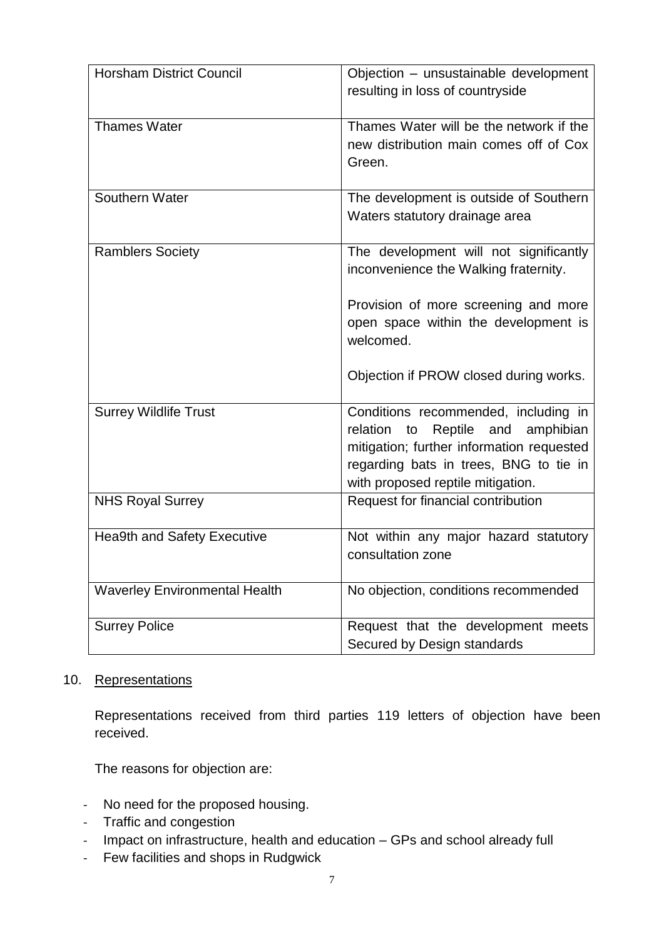| <b>Horsham District Council</b>      | Objection - unsustainable development<br>resulting in loss of countryside                                                                                                                                         |
|--------------------------------------|-------------------------------------------------------------------------------------------------------------------------------------------------------------------------------------------------------------------|
| <b>Thames Water</b>                  | Thames Water will be the network if the<br>new distribution main comes off of Cox<br>Green.                                                                                                                       |
| Southern Water                       | The development is outside of Southern<br>Waters statutory drainage area                                                                                                                                          |
| <b>Ramblers Society</b>              | The development will not significantly<br>inconvenience the Walking fraternity.                                                                                                                                   |
|                                      | Provision of more screening and more<br>open space within the development is<br>welcomed.                                                                                                                         |
|                                      | Objection if PROW closed during works.                                                                                                                                                                            |
| <b>Surrey Wildlife Trust</b>         | Conditions recommended, including in<br>relation<br>Reptile<br>and<br>amphibian<br>to<br>mitigation; further information requested<br>regarding bats in trees, BNG to tie in<br>with proposed reptile mitigation. |
| <b>NHS Royal Surrey</b>              | Request for financial contribution                                                                                                                                                                                |
| <b>Hea9th and Safety Executive</b>   | Not within any major hazard statutory<br>consultation zone                                                                                                                                                        |
| <b>Waverley Environmental Health</b> | No objection, conditions recommended                                                                                                                                                                              |
| <b>Surrey Police</b>                 | Request that the development meets<br>Secured by Design standards                                                                                                                                                 |

# 10. Representations

Representations received from third parties 119 letters of objection have been received.

The reasons for objection are:

- No need for the proposed housing.
- Traffic and congestion
- Impact on infrastructure, health and education GPs and school already full
- Few facilities and shops in Rudgwick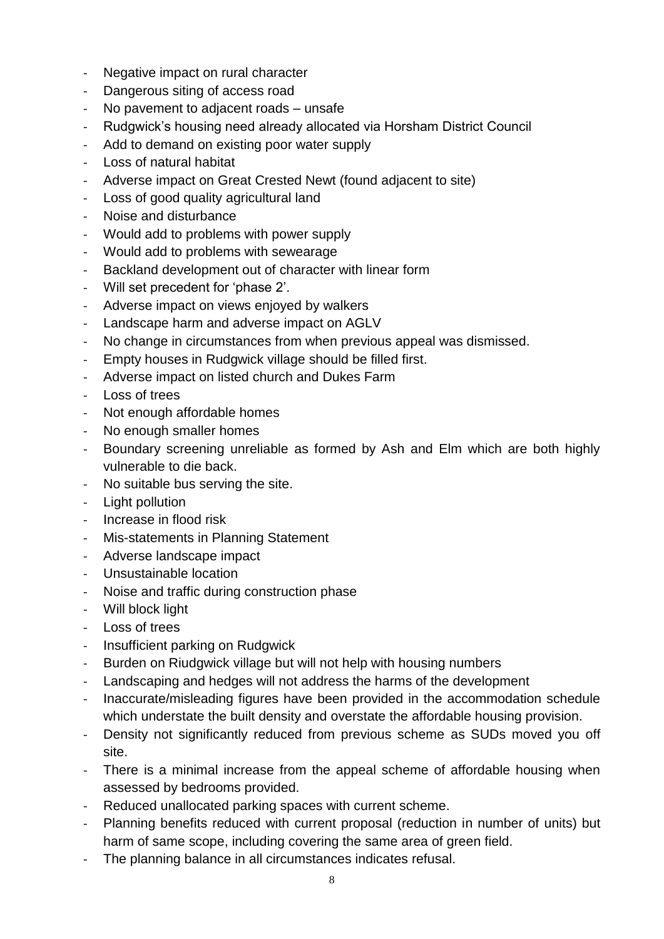- Negative impact on rural character
- Dangerous siting of access road
- No pavement to adjacent roads unsafe
- Rudgwick's housing need already allocated via Horsham District Council
- Add to demand on existing poor water supply
- Loss of natural habitat
- Adverse impact on Great Crested Newt (found adjacent to site)
- Loss of good quality agricultural land
- Noise and disturbance
- Would add to problems with power supply
- Would add to problems with sewearage
- Backland development out of character with linear form
- Will set precedent for 'phase 2'.
- Adverse impact on views enjoyed by walkers
- Landscape harm and adverse impact on AGLV
- No change in circumstances from when previous appeal was dismissed.
- Empty houses in Rudgwick village should be filled first.
- Adverse impact on listed church and Dukes Farm
- Loss of trees
- Not enough affordable homes
- No enough smaller homes
- Boundary screening unreliable as formed by Ash and Elm which are both highly vulnerable to die back.
- No suitable bus serving the site.
- Light pollution
- Increase in flood risk
- Mis-statements in Planning Statement
- Adverse landscape impact
- Unsustainable location
- Noise and traffic during construction phase
- Will block light
- Loss of trees
- Insufficient parking on Rudgwick
- Burden on Riudgwick village but will not help with housing numbers
- Landscaping and hedges will not address the harms of the development
- Inaccurate/misleading figures have been provided in the accommodation schedule which understate the built density and overstate the affordable housing provision.
- Density not significantly reduced from previous scheme as SUDs moved you off site.
- There is a minimal increase from the appeal scheme of affordable housing when assessed by bedrooms provided.
- Reduced unallocated parking spaces with current scheme.
- Planning benefits reduced with current proposal (reduction in number of units) but harm of same scope, including covering the same area of green field.
- The planning balance in all circumstances indicates refusal.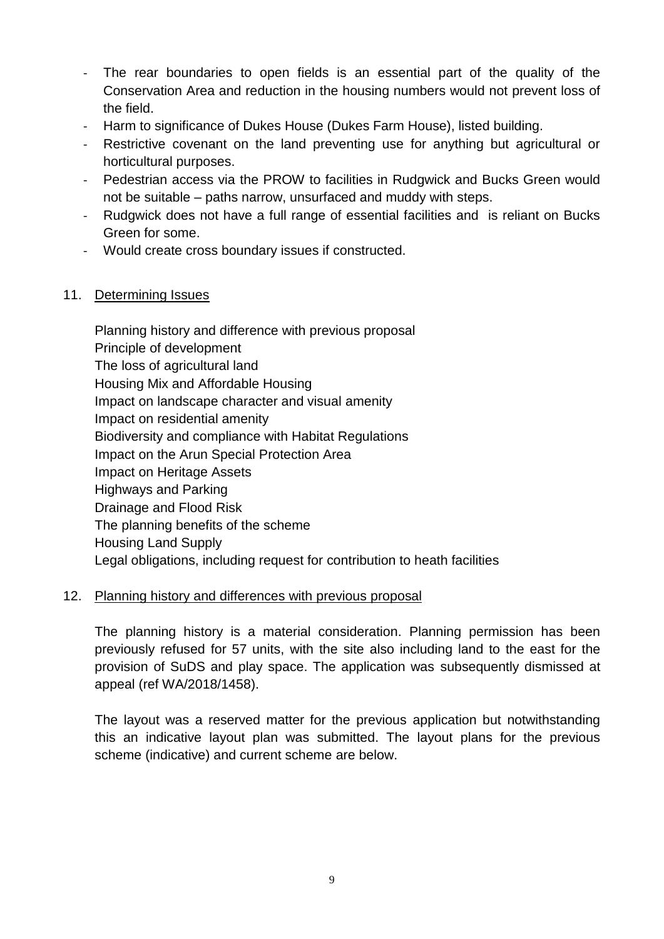- The rear boundaries to open fields is an essential part of the quality of the Conservation Area and reduction in the housing numbers would not prevent loss of the field.
- Harm to significance of Dukes House (Dukes Farm House), listed building.
- Restrictive covenant on the land preventing use for anything but agricultural or horticultural purposes.
- Pedestrian access via the PROW to facilities in Rudgwick and Bucks Green would not be suitable – paths narrow, unsurfaced and muddy with steps.
- Rudgwick does not have a full range of essential facilities and is reliant on Bucks Green for some.
- Would create cross boundary issues if constructed.

# 11. Determining Issues

Planning history and difference with previous proposal Principle of development The loss of agricultural land Housing Mix and Affordable Housing Impact on landscape character and visual amenity Impact on residential amenity Biodiversity and compliance with Habitat Regulations Impact on the Arun Special Protection Area Impact on Heritage Assets Highways and Parking Drainage and Flood Risk The planning benefits of the scheme Housing Land Supply Legal obligations, including request for contribution to heath facilities

# 12. Planning history and differences with previous proposal

The planning history is a material consideration. Planning permission has been previously refused for 57 units, with the site also including land to the east for the provision of SuDS and play space. The application was subsequently dismissed at appeal (ref WA/2018/1458).

The layout was a reserved matter for the previous application but notwithstanding this an indicative layout plan was submitted. The layout plans for the previous scheme (indicative) and current scheme are below.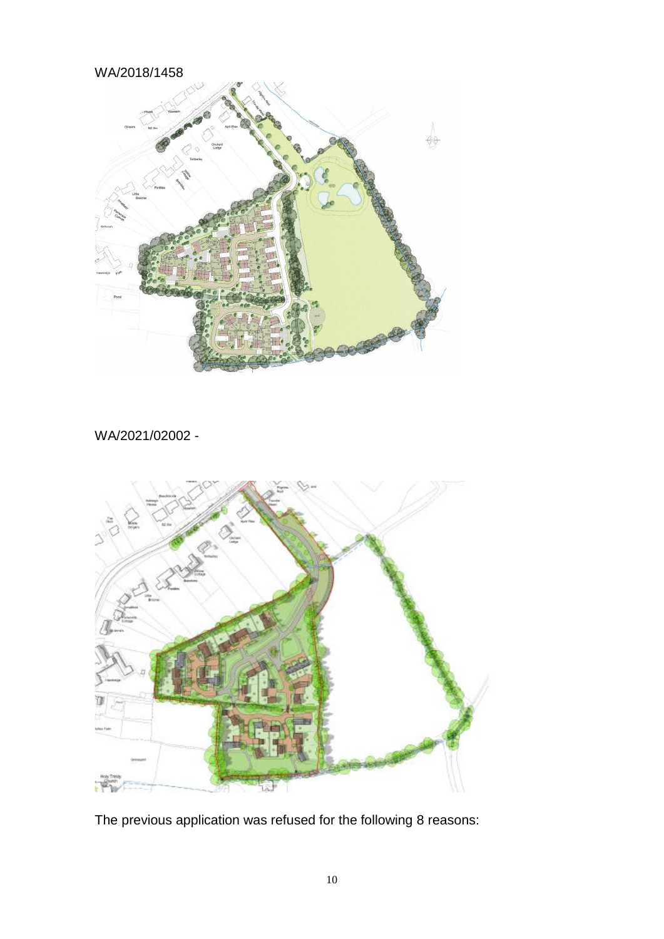# WA/2018/1458



WA/2021/02002 -



The previous application was refused for the following 8 reasons: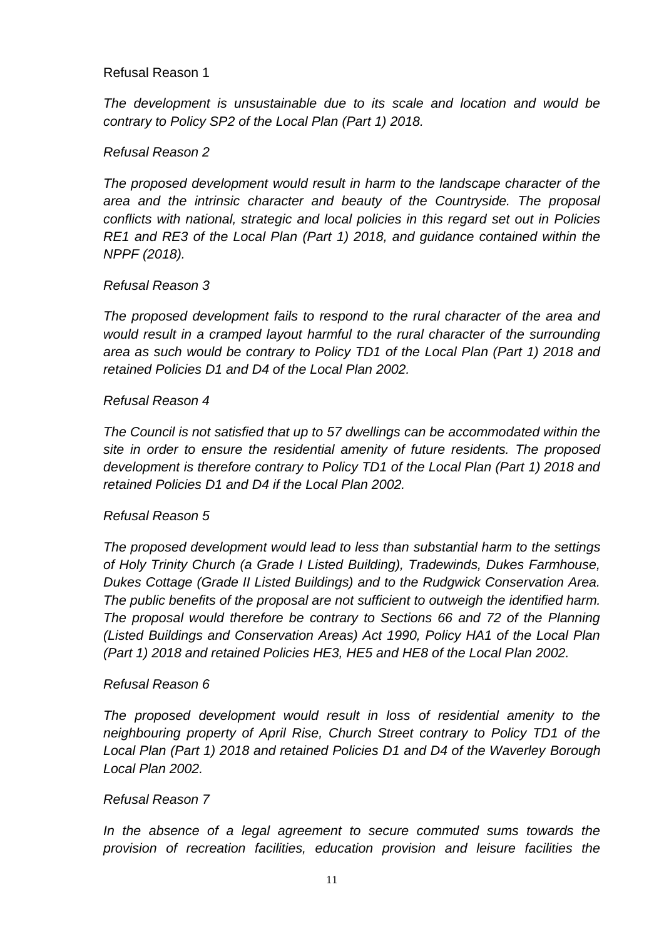## Refusal Reason 1

*The development is unsustainable due to its scale and location and would be contrary to Policy SP2 of the Local Plan (Part 1) 2018.*

# *Refusal Reason 2*

*The proposed development would result in harm to the landscape character of the area and the intrinsic character and beauty of the Countryside. The proposal conflicts with national, strategic and local policies in this regard set out in Policies RE1 and RE3 of the Local Plan (Part 1) 2018, and guidance contained within the NPPF (2018).*

## *Refusal Reason 3*

*The proposed development fails to respond to the rural character of the area and would result in a cramped layout harmful to the rural character of the surrounding area as such would be contrary to Policy TD1 of the Local Plan (Part 1) 2018 and retained Policies D1 and D4 of the Local Plan 2002.*

## *Refusal Reason 4*

*The Council is not satisfied that up to 57 dwellings can be accommodated within the site in order to ensure the residential amenity of future residents. The proposed development is therefore contrary to Policy TD1 of the Local Plan (Part 1) 2018 and retained Policies D1 and D4 if the Local Plan 2002.*

## *Refusal Reason 5*

*The proposed development would lead to less than substantial harm to the settings of Holy Trinity Church (a Grade I Listed Building), Tradewinds, Dukes Farmhouse, Dukes Cottage (Grade II Listed Buildings) and to the Rudgwick Conservation Area. The public benefits of the proposal are not sufficient to outweigh the identified harm. The proposal would therefore be contrary to Sections 66 and 72 of the Planning (Listed Buildings and Conservation Areas) Act 1990, Policy HA1 of the Local Plan (Part 1) 2018 and retained Policies HE3, HE5 and HE8 of the Local Plan 2002.*

## *Refusal Reason 6*

*The proposed development would result in loss of residential amenity to the neighbouring property of April Rise, Church Street contrary to Policy TD1 of the Local Plan (Part 1) 2018 and retained Policies D1 and D4 of the Waverley Borough Local Plan 2002.*

## *Refusal Reason 7*

*In the absence of a legal agreement to secure commuted sums towards the provision of recreation facilities, education provision and leisure facilities the*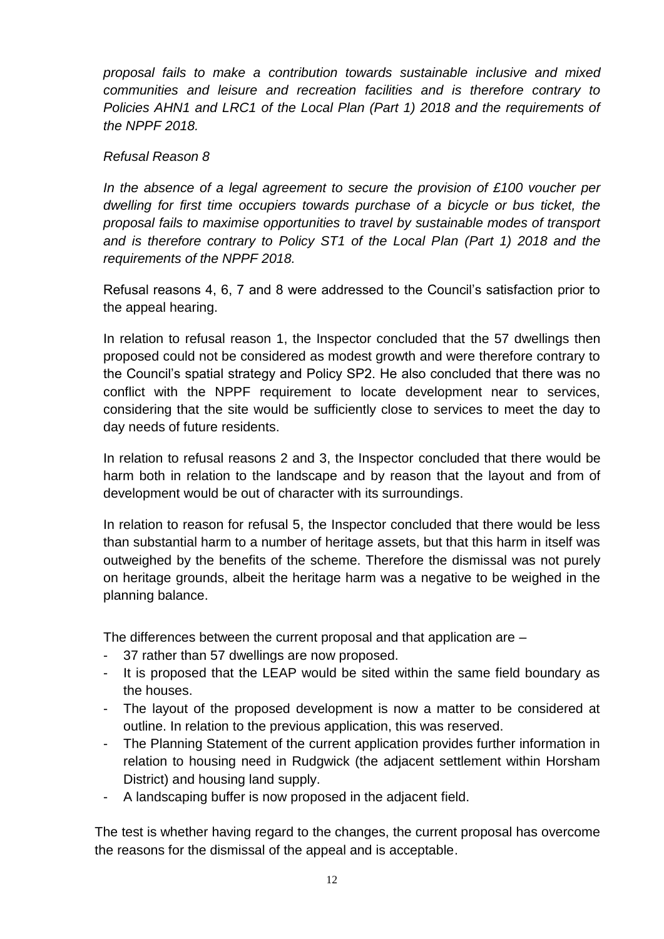*proposal fails to make a contribution towards sustainable inclusive and mixed communities and leisure and recreation facilities and is therefore contrary to Policies AHN1 and LRC1 of the Local Plan (Part 1) 2018 and the requirements of the NPPF 2018.*

## *Refusal Reason 8*

*In the absence of a legal agreement to secure the provision of £100 voucher per dwelling for first time occupiers towards purchase of a bicycle or bus ticket, the proposal fails to maximise opportunities to travel by sustainable modes of transport and is therefore contrary to Policy ST1 of the Local Plan (Part 1) 2018 and the requirements of the NPPF 2018.*

Refusal reasons 4, 6, 7 and 8 were addressed to the Council's satisfaction prior to the appeal hearing.

In relation to refusal reason 1, the Inspector concluded that the 57 dwellings then proposed could not be considered as modest growth and were therefore contrary to the Council's spatial strategy and Policy SP2. He also concluded that there was no conflict with the NPPF requirement to locate development near to services, considering that the site would be sufficiently close to services to meet the day to day needs of future residents.

In relation to refusal reasons 2 and 3, the Inspector concluded that there would be harm both in relation to the landscape and by reason that the layout and from of development would be out of character with its surroundings.

In relation to reason for refusal 5, the Inspector concluded that there would be less than substantial harm to a number of heritage assets, but that this harm in itself was outweighed by the benefits of the scheme. Therefore the dismissal was not purely on heritage grounds, albeit the heritage harm was a negative to be weighed in the planning balance.

The differences between the current proposal and that application are –

- 37 rather than 57 dwellings are now proposed.
- It is proposed that the LEAP would be sited within the same field boundary as the houses.
- The layout of the proposed development is now a matter to be considered at outline. In relation to the previous application, this was reserved.
- The Planning Statement of the current application provides further information in relation to housing need in Rudgwick (the adjacent settlement within Horsham District) and housing land supply.
- A landscaping buffer is now proposed in the adjacent field.

The test is whether having regard to the changes, the current proposal has overcome the reasons for the dismissal of the appeal and is acceptable.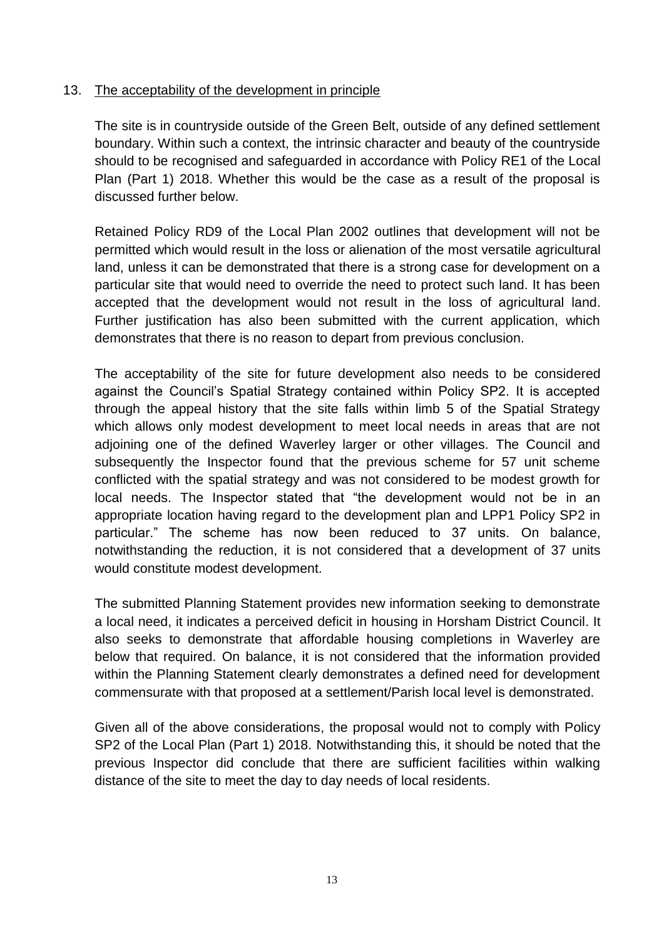## 13. The acceptability of the development in principle

The site is in countryside outside of the Green Belt, outside of any defined settlement boundary. Within such a context, the intrinsic character and beauty of the countryside should to be recognised and safeguarded in accordance with Policy RE1 of the Local Plan (Part 1) 2018. Whether this would be the case as a result of the proposal is discussed further below.

Retained Policy RD9 of the Local Plan 2002 outlines that development will not be permitted which would result in the loss or alienation of the most versatile agricultural land, unless it can be demonstrated that there is a strong case for development on a particular site that would need to override the need to protect such land. It has been accepted that the development would not result in the loss of agricultural land. Further justification has also been submitted with the current application, which demonstrates that there is no reason to depart from previous conclusion.

The acceptability of the site for future development also needs to be considered against the Council's Spatial Strategy contained within Policy SP2. It is accepted through the appeal history that the site falls within limb 5 of the Spatial Strategy which allows only modest development to meet local needs in areas that are not adjoining one of the defined Waverley larger or other villages. The Council and subsequently the Inspector found that the previous scheme for 57 unit scheme conflicted with the spatial strategy and was not considered to be modest growth for local needs. The Inspector stated that "the development would not be in an appropriate location having regard to the development plan and LPP1 Policy SP2 in particular." The scheme has now been reduced to 37 units. On balance, notwithstanding the reduction, it is not considered that a development of 37 units would constitute modest development.

The submitted Planning Statement provides new information seeking to demonstrate a local need, it indicates a perceived deficit in housing in Horsham District Council. It also seeks to demonstrate that affordable housing completions in Waverley are below that required. On balance, it is not considered that the information provided within the Planning Statement clearly demonstrates a defined need for development commensurate with that proposed at a settlement/Parish local level is demonstrated.

Given all of the above considerations, the proposal would not to comply with Policy SP2 of the Local Plan (Part 1) 2018. Notwithstanding this, it should be noted that the previous Inspector did conclude that there are sufficient facilities within walking distance of the site to meet the day to day needs of local residents.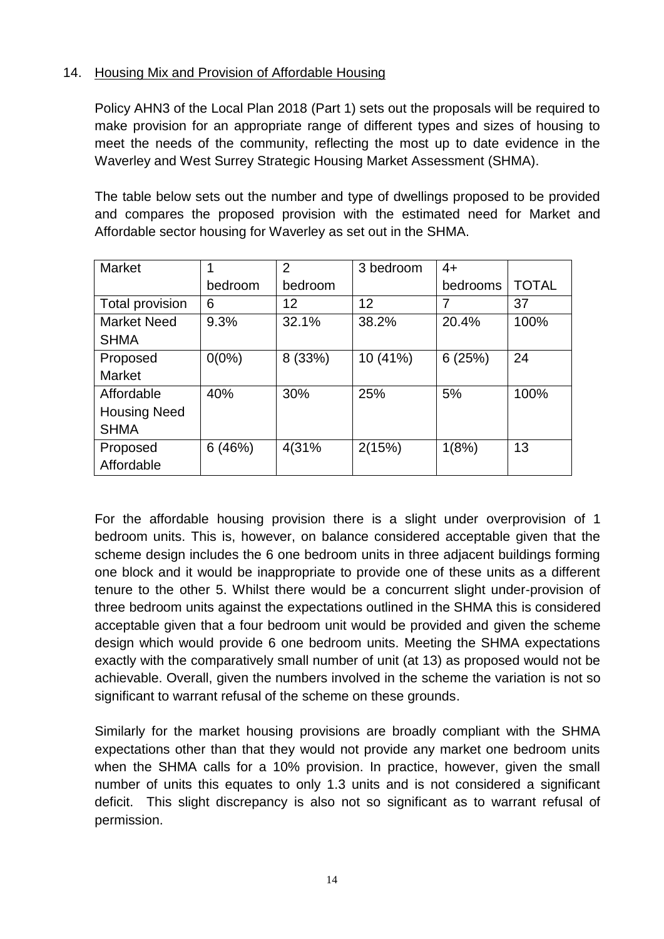# 14. Housing Mix and Provision of Affordable Housing

Policy AHN3 of the Local Plan 2018 (Part 1) sets out the proposals will be required to make provision for an appropriate range of different types and sizes of housing to meet the needs of the community, reflecting the most up to date evidence in the Waverley and West Surrey Strategic Housing Market Assessment (SHMA).

The table below sets out the number and type of dwellings proposed to be provided and compares the proposed provision with the estimated need for Market and Affordable sector housing for Waverley as set out in the SHMA.

| <b>Market</b>       |          | $\overline{2}$ | 3 bedroom | $4+$     |              |
|---------------------|----------|----------------|-----------|----------|--------------|
|                     | bedroom  | bedroom        |           | bedrooms | <b>TOTAL</b> |
| Total provision     | 6        | 12             | 12        |          | 37           |
| <b>Market Need</b>  | 9.3%     | 32.1%          | 38.2%     | 20.4%    | 100%         |
| <b>SHMA</b>         |          |                |           |          |              |
| Proposed            | $0(0\%)$ | 8 (33%)        | 10 (41%)  | 6(25%)   | 24           |
| <b>Market</b>       |          |                |           |          |              |
| Affordable          | 40%      | 30%            | 25%       | 5%       | 100%         |
| <b>Housing Need</b> |          |                |           |          |              |
| <b>SHMA</b>         |          |                |           |          |              |
| Proposed            | 6(46%)   | 4(31%          | 2(15%)    | 1(8%)    | 13           |
| Affordable          |          |                |           |          |              |

For the affordable housing provision there is a slight under overprovision of 1 bedroom units. This is, however, on balance considered acceptable given that the scheme design includes the 6 one bedroom units in three adjacent buildings forming one block and it would be inappropriate to provide one of these units as a different tenure to the other 5. Whilst there would be a concurrent slight under-provision of three bedroom units against the expectations outlined in the SHMA this is considered acceptable given that a four bedroom unit would be provided and given the scheme design which would provide 6 one bedroom units. Meeting the SHMA expectations exactly with the comparatively small number of unit (at 13) as proposed would not be achievable. Overall, given the numbers involved in the scheme the variation is not so significant to warrant refusal of the scheme on these grounds.

Similarly for the market housing provisions are broadly compliant with the SHMA expectations other than that they would not provide any market one bedroom units when the SHMA calls for a 10% provision. In practice, however, given the small number of units this equates to only 1.3 units and is not considered a significant deficit. This slight discrepancy is also not so significant as to warrant refusal of permission.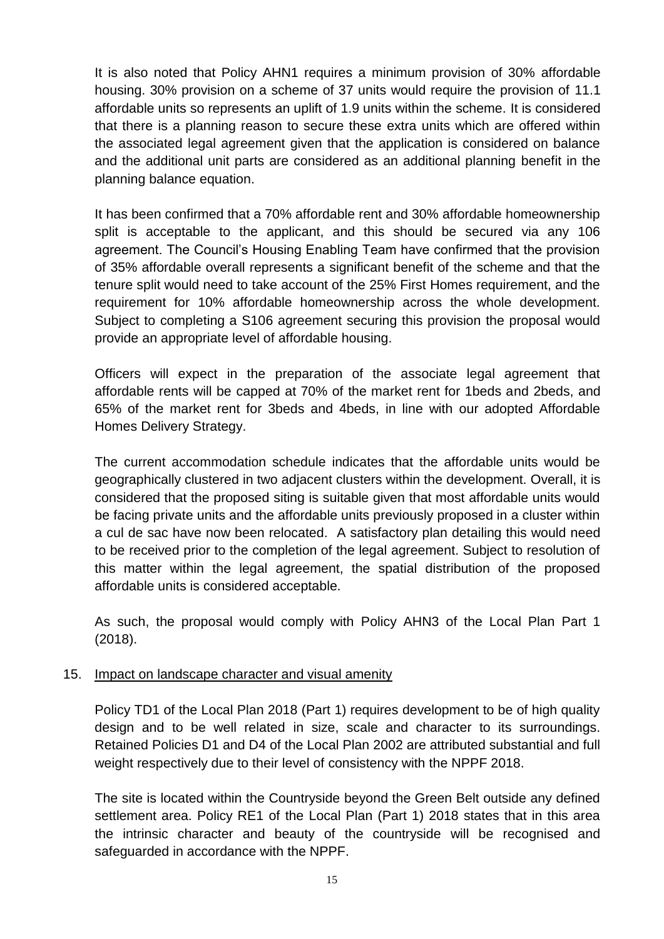It is also noted that Policy AHN1 requires a minimum provision of 30% affordable housing. 30% provision on a scheme of 37 units would require the provision of 11.1 affordable units so represents an uplift of 1.9 units within the scheme. It is considered that there is a planning reason to secure these extra units which are offered within the associated legal agreement given that the application is considered on balance and the additional unit parts are considered as an additional planning benefit in the planning balance equation.

It has been confirmed that a 70% affordable rent and 30% affordable homeownership split is acceptable to the applicant, and this should be secured via any 106 agreement. The Council's Housing Enabling Team have confirmed that the provision of 35% affordable overall represents a significant benefit of the scheme and that the tenure split would need to take account of the 25% First Homes requirement, and the requirement for 10% affordable homeownership across the whole development. Subject to completing a S106 agreement securing this provision the proposal would provide an appropriate level of affordable housing.

Officers will expect in the preparation of the associate legal agreement that affordable rents will be capped at 70% of the market rent for 1beds and 2beds, and 65% of the market rent for 3beds and 4beds, in line with our adopted Affordable Homes Delivery Strategy.

The current accommodation schedule indicates that the affordable units would be geographically clustered in two adjacent clusters within the development. Overall, it is considered that the proposed siting is suitable given that most affordable units would be facing private units and the affordable units previously proposed in a cluster within a cul de sac have now been relocated. A satisfactory plan detailing this would need to be received prior to the completion of the legal agreement. Subject to resolution of this matter within the legal agreement, the spatial distribution of the proposed affordable units is considered acceptable.

As such, the proposal would comply with Policy AHN3 of the Local Plan Part 1 (2018).

# 15. Impact on landscape character and visual amenity

Policy TD1 of the Local Plan 2018 (Part 1) requires development to be of high quality design and to be well related in size, scale and character to its surroundings. Retained Policies D1 and D4 of the Local Plan 2002 are attributed substantial and full weight respectively due to their level of consistency with the NPPF 2018.

The site is located within the Countryside beyond the Green Belt outside any defined settlement area. Policy RE1 of the Local Plan (Part 1) 2018 states that in this area the intrinsic character and beauty of the countryside will be recognised and safeguarded in accordance with the NPPF.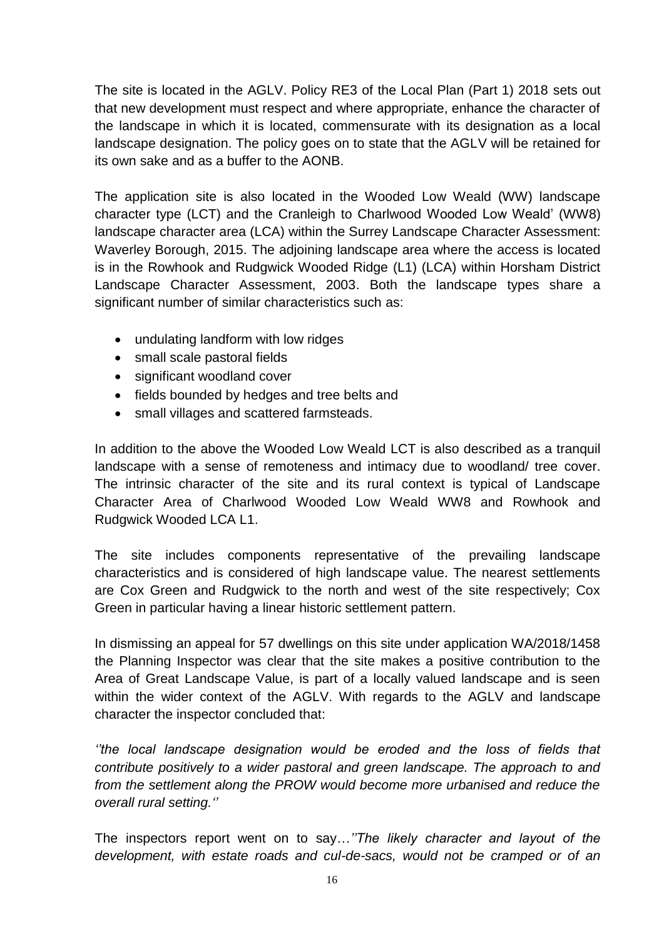The site is located in the AGLV. Policy RE3 of the Local Plan (Part 1) 2018 sets out that new development must respect and where appropriate, enhance the character of the landscape in which it is located, commensurate with its designation as a local landscape designation. The policy goes on to state that the AGLV will be retained for its own sake and as a buffer to the AONB.

The application site is also located in the Wooded Low Weald (WW) landscape character type (LCT) and the Cranleigh to Charlwood Wooded Low Weald' (WW8) landscape character area (LCA) within the Surrey Landscape Character Assessment: Waverley Borough, 2015. The adjoining landscape area where the access is located is in the Rowhook and Rudgwick Wooded Ridge (L1) (LCA) within Horsham District Landscape Character Assessment, 2003. Both the landscape types share a significant number of similar characteristics such as:

- undulating landform with low ridges
- small scale pastoral fields
- significant woodland cover
- fields bounded by hedges and tree belts and
- small villages and scattered farmsteads.

In addition to the above the Wooded Low Weald LCT is also described as a tranquil landscape with a sense of remoteness and intimacy due to woodland/ tree cover. The intrinsic character of the site and its rural context is typical of Landscape Character Area of Charlwood Wooded Low Weald WW8 and Rowhook and Rudgwick Wooded LCA L1.

The site includes components representative of the prevailing landscape characteristics and is considered of high landscape value. The nearest settlements are Cox Green and Rudgwick to the north and west of the site respectively; Cox Green in particular having a linear historic settlement pattern.

In dismissing an appeal for 57 dwellings on this site under application WA/2018/1458 the Planning Inspector was clear that the site makes a positive contribution to the Area of Great Landscape Value, is part of a locally valued landscape and is seen within the wider context of the AGLV. With regards to the AGLV and landscape character the inspector concluded that:

*''the local landscape designation would be eroded and the loss of fields that contribute positively to a wider pastoral and green landscape. The approach to and from the settlement along the PROW would become more urbanised and reduce the overall rural setting.''*

The inspectors report went on to say…*''The likely character and layout of the development, with estate roads and cul-de-sacs, would not be cramped or of an*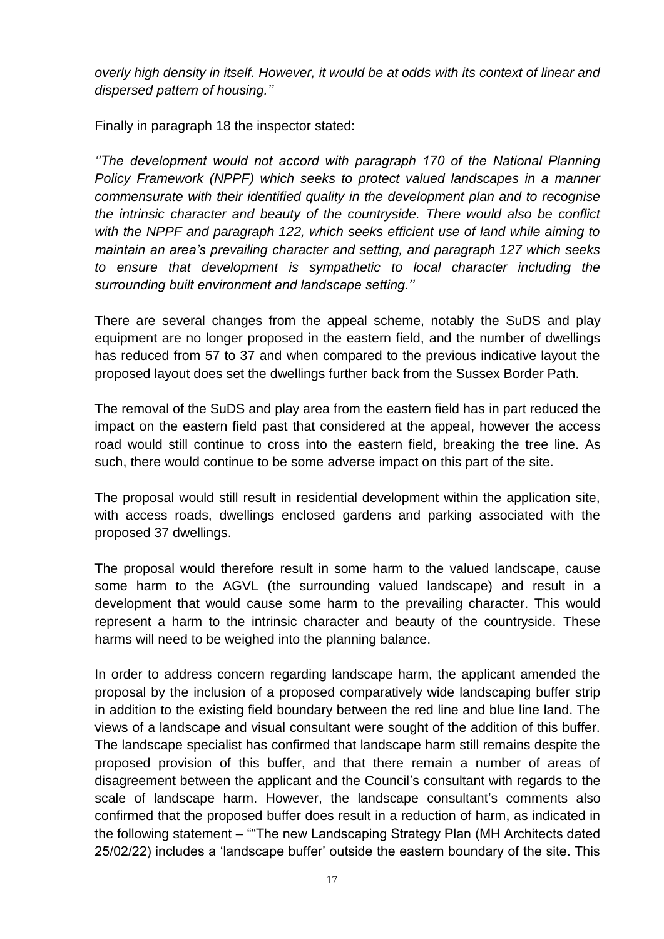*overly high density in itself. However, it would be at odds with its context of linear and dispersed pattern of housing.''* 

Finally in paragraph 18 the inspector stated:

*''The development would not accord with paragraph 170 of the National Planning Policy Framework (NPPF) which seeks to protect valued landscapes in a manner commensurate with their identified quality in the development plan and to recognise the intrinsic character and beauty of the countryside. There would also be conflict with the NPPF and paragraph 122, which seeks efficient use of land while aiming to maintain an area's prevailing character and setting, and paragraph 127 which seeks to ensure that development is sympathetic to local character including the surrounding built environment and landscape setting.''*

There are several changes from the appeal scheme, notably the SuDS and play equipment are no longer proposed in the eastern field, and the number of dwellings has reduced from 57 to 37 and when compared to the previous indicative layout the proposed layout does set the dwellings further back from the Sussex Border Path.

The removal of the SuDS and play area from the eastern field has in part reduced the impact on the eastern field past that considered at the appeal, however the access road would still continue to cross into the eastern field, breaking the tree line. As such, there would continue to be some adverse impact on this part of the site.

The proposal would still result in residential development within the application site, with access roads, dwellings enclosed gardens and parking associated with the proposed 37 dwellings.

The proposal would therefore result in some harm to the valued landscape, cause some harm to the AGVL (the surrounding valued landscape) and result in a development that would cause some harm to the prevailing character. This would represent a harm to the intrinsic character and beauty of the countryside. These harms will need to be weighed into the planning balance.

In order to address concern regarding landscape harm, the applicant amended the proposal by the inclusion of a proposed comparatively wide landscaping buffer strip in addition to the existing field boundary between the red line and blue line land. The views of a landscape and visual consultant were sought of the addition of this buffer. The landscape specialist has confirmed that landscape harm still remains despite the proposed provision of this buffer, and that there remain a number of areas of disagreement between the applicant and the Council's consultant with regards to the scale of landscape harm. However, the landscape consultant's comments also confirmed that the proposed buffer does result in a reduction of harm, as indicated in the following statement – ""The new Landscaping Strategy Plan (MH Architects dated 25/02/22) includes a 'landscape buffer' outside the eastern boundary of the site. This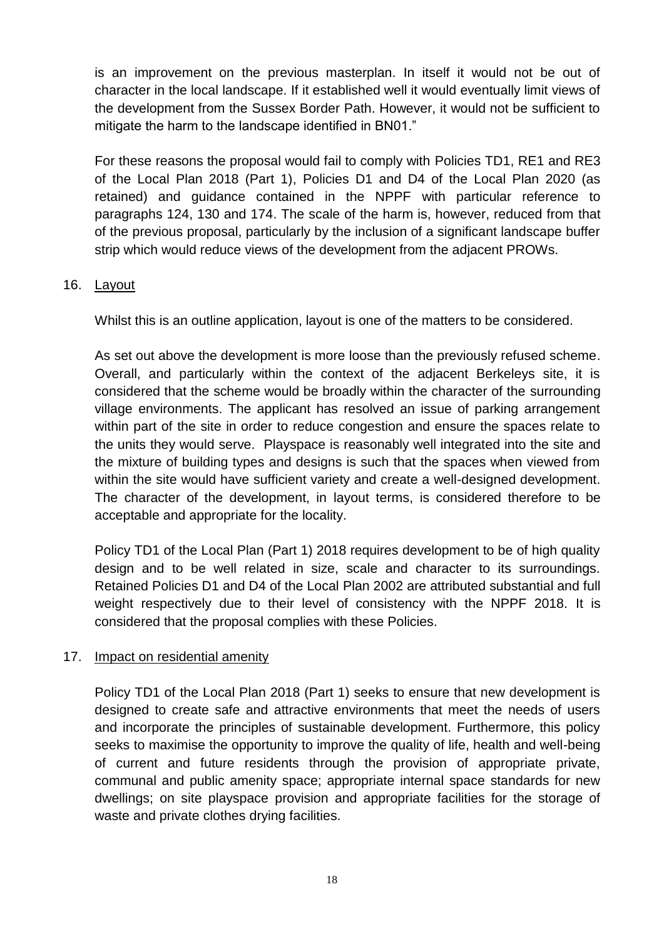is an improvement on the previous masterplan. In itself it would not be out of character in the local landscape. If it established well it would eventually limit views of the development from the Sussex Border Path. However, it would not be sufficient to mitigate the harm to the landscape identified in BN01."

For these reasons the proposal would fail to comply with Policies TD1, RE1 and RE3 of the Local Plan 2018 (Part 1), Policies D1 and D4 of the Local Plan 2020 (as retained) and guidance contained in the NPPF with particular reference to paragraphs 124, 130 and 174. The scale of the harm is, however, reduced from that of the previous proposal, particularly by the inclusion of a significant landscape buffer strip which would reduce views of the development from the adjacent PROWs.

# 16. Layout

Whilst this is an outline application, layout is one of the matters to be considered.

As set out above the development is more loose than the previously refused scheme. Overall, and particularly within the context of the adjacent Berkeleys site, it is considered that the scheme would be broadly within the character of the surrounding village environments. The applicant has resolved an issue of parking arrangement within part of the site in order to reduce congestion and ensure the spaces relate to the units they would serve. Playspace is reasonably well integrated into the site and the mixture of building types and designs is such that the spaces when viewed from within the site would have sufficient variety and create a well-designed development. The character of the development, in layout terms, is considered therefore to be acceptable and appropriate for the locality.

Policy TD1 of the Local Plan (Part 1) 2018 requires development to be of high quality design and to be well related in size, scale and character to its surroundings. Retained Policies D1 and D4 of the Local Plan 2002 are attributed substantial and full weight respectively due to their level of consistency with the NPPF 2018. It is considered that the proposal complies with these Policies.

# 17. Impact on residential amenity

Policy TD1 of the Local Plan 2018 (Part 1) seeks to ensure that new development is designed to create safe and attractive environments that meet the needs of users and incorporate the principles of sustainable development. Furthermore, this policy seeks to maximise the opportunity to improve the quality of life, health and well-being of current and future residents through the provision of appropriate private, communal and public amenity space; appropriate internal space standards for new dwellings; on site playspace provision and appropriate facilities for the storage of waste and private clothes drying facilities.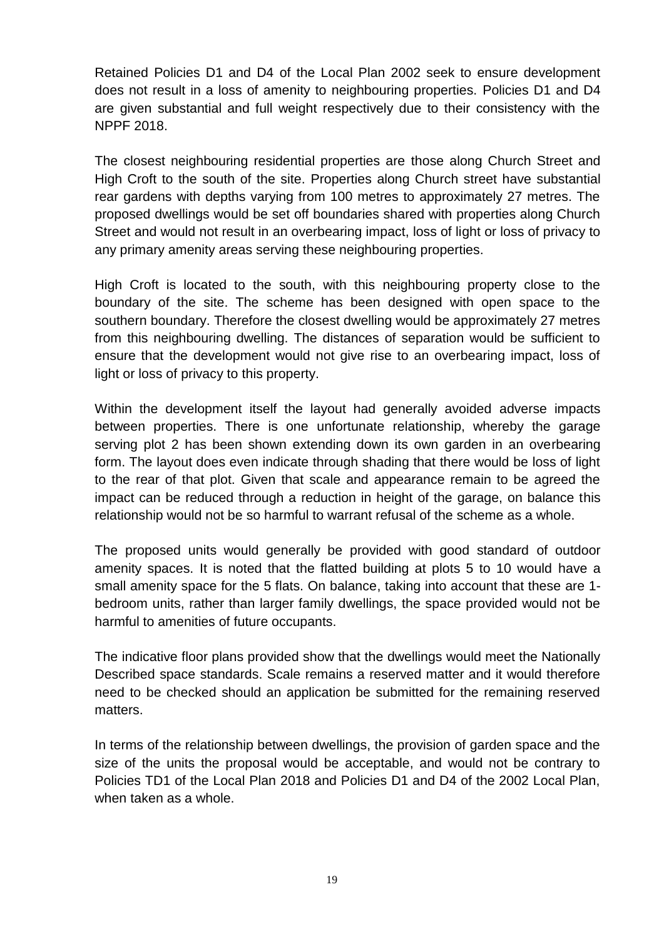Retained Policies D1 and D4 of the Local Plan 2002 seek to ensure development does not result in a loss of amenity to neighbouring properties. Policies D1 and D4 are given substantial and full weight respectively due to their consistency with the NPPF 2018.

The closest neighbouring residential properties are those along Church Street and High Croft to the south of the site. Properties along Church street have substantial rear gardens with depths varying from 100 metres to approximately 27 metres. The proposed dwellings would be set off boundaries shared with properties along Church Street and would not result in an overbearing impact, loss of light or loss of privacy to any primary amenity areas serving these neighbouring properties.

High Croft is located to the south, with this neighbouring property close to the boundary of the site. The scheme has been designed with open space to the southern boundary. Therefore the closest dwelling would be approximately 27 metres from this neighbouring dwelling. The distances of separation would be sufficient to ensure that the development would not give rise to an overbearing impact, loss of light or loss of privacy to this property.

Within the development itself the layout had generally avoided adverse impacts between properties. There is one unfortunate relationship, whereby the garage serving plot 2 has been shown extending down its own garden in an overbearing form. The layout does even indicate through shading that there would be loss of light to the rear of that plot. Given that scale and appearance remain to be agreed the impact can be reduced through a reduction in height of the garage, on balance this relationship would not be so harmful to warrant refusal of the scheme as a whole.

The proposed units would generally be provided with good standard of outdoor amenity spaces. It is noted that the flatted building at plots 5 to 10 would have a small amenity space for the 5 flats. On balance, taking into account that these are 1 bedroom units, rather than larger family dwellings, the space provided would not be harmful to amenities of future occupants.

The indicative floor plans provided show that the dwellings would meet the Nationally Described space standards. Scale remains a reserved matter and it would therefore need to be checked should an application be submitted for the remaining reserved matters.

In terms of the relationship between dwellings, the provision of garden space and the size of the units the proposal would be acceptable, and would not be contrary to Policies TD1 of the Local Plan 2018 and Policies D1 and D4 of the 2002 Local Plan, when taken as a whole.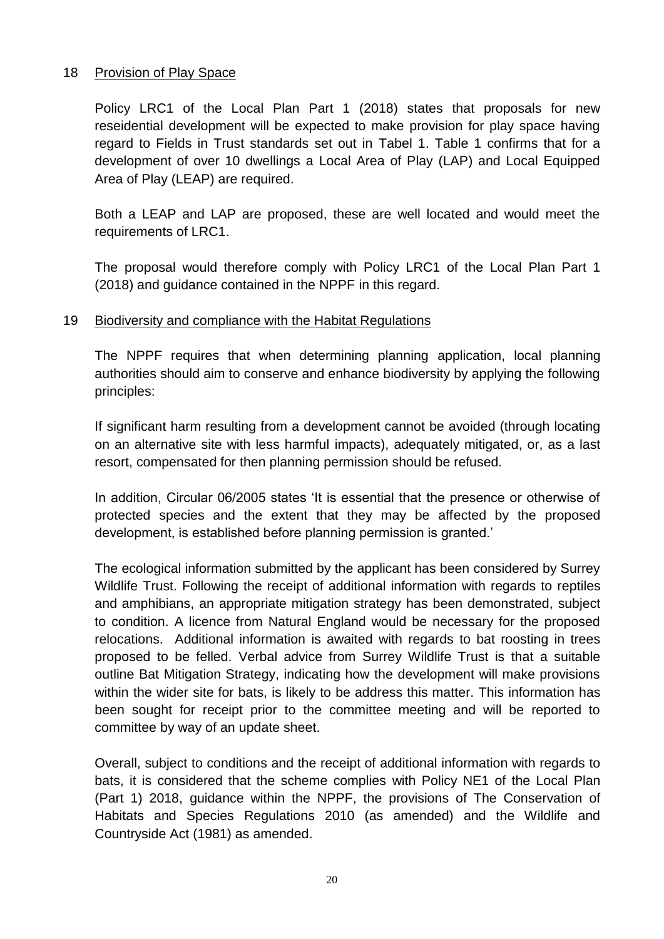# 18 Provision of Play Space

Policy LRC1 of the Local Plan Part 1 (2018) states that proposals for new reseidential development will be expected to make provision for play space having regard to Fields in Trust standards set out in Tabel 1. Table 1 confirms that for a development of over 10 dwellings a Local Area of Play (LAP) and Local Equipped Area of Play (LEAP) are required.

Both a LEAP and LAP are proposed, these are well located and would meet the requirements of LRC1.

The proposal would therefore comply with Policy LRC1 of the Local Plan Part 1 (2018) and guidance contained in the NPPF in this regard.

## 19 Biodiversity and compliance with the Habitat Regulations

The NPPF requires that when determining planning application, local planning authorities should aim to conserve and enhance biodiversity by applying the following principles:

If significant harm resulting from a development cannot be avoided (through locating on an alternative site with less harmful impacts), adequately mitigated, or, as a last resort, compensated for then planning permission should be refused.

In addition, Circular 06/2005 states 'It is essential that the presence or otherwise of protected species and the extent that they may be affected by the proposed development, is established before planning permission is granted.'

The ecological information submitted by the applicant has been considered by Surrey Wildlife Trust. Following the receipt of additional information with regards to reptiles and amphibians, an appropriate mitigation strategy has been demonstrated, subject to condition. A licence from Natural England would be necessary for the proposed relocations. Additional information is awaited with regards to bat roosting in trees proposed to be felled. Verbal advice from Surrey Wildlife Trust is that a suitable outline Bat Mitigation Strategy, indicating how the development will make provisions within the wider site for bats, is likely to be address this matter. This information has been sought for receipt prior to the committee meeting and will be reported to committee by way of an update sheet.

Overall, subject to conditions and the receipt of additional information with regards to bats, it is considered that the scheme complies with Policy NE1 of the Local Plan (Part 1) 2018, guidance within the NPPF, the provisions of The Conservation of Habitats and Species Regulations 2010 (as amended) and the Wildlife and Countryside Act (1981) as amended.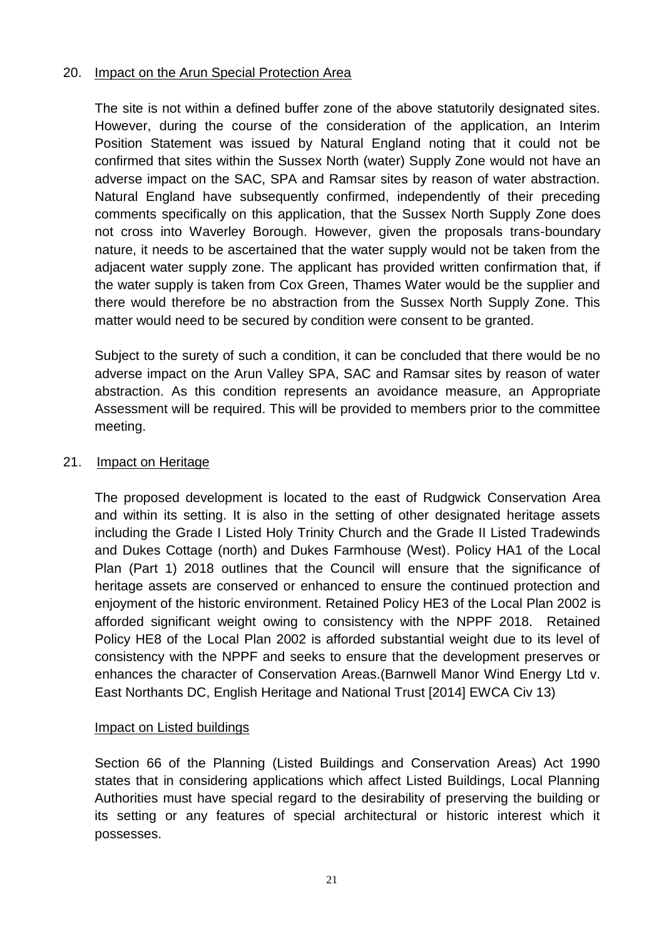# 20. Impact on the Arun Special Protection Area

The site is not within a defined buffer zone of the above statutorily designated sites. However, during the course of the consideration of the application, an Interim Position Statement was issued by Natural England noting that it could not be confirmed that sites within the Sussex North (water) Supply Zone would not have an adverse impact on the SAC, SPA and Ramsar sites by reason of water abstraction. Natural England have subsequently confirmed, independently of their preceding comments specifically on this application, that the Sussex North Supply Zone does not cross into Waverley Borough. However, given the proposals trans-boundary nature, it needs to be ascertained that the water supply would not be taken from the adjacent water supply zone. The applicant has provided written confirmation that, if the water supply is taken from Cox Green, Thames Water would be the supplier and there would therefore be no abstraction from the Sussex North Supply Zone. This matter would need to be secured by condition were consent to be granted.

Subject to the surety of such a condition, it can be concluded that there would be no adverse impact on the Arun Valley SPA, SAC and Ramsar sites by reason of water abstraction. As this condition represents an avoidance measure, an Appropriate Assessment will be required. This will be provided to members prior to the committee meeting.

# 21. Impact on Heritage

The proposed development is located to the east of Rudgwick Conservation Area and within its setting. It is also in the setting of other designated heritage assets including the Grade I Listed Holy Trinity Church and the Grade II Listed Tradewinds and Dukes Cottage (north) and Dukes Farmhouse (West). Policy HA1 of the Local Plan (Part 1) 2018 outlines that the Council will ensure that the significance of heritage assets are conserved or enhanced to ensure the continued protection and enjoyment of the historic environment. Retained Policy HE3 of the Local Plan 2002 is afforded significant weight owing to consistency with the NPPF 2018. Retained Policy HE8 of the Local Plan 2002 is afforded substantial weight due to its level of consistency with the NPPF and seeks to ensure that the development preserves or enhances the character of Conservation Areas.(Barnwell Manor Wind Energy Ltd v. East Northants DC, English Heritage and National Trust [2014] EWCA Civ 13)

# Impact on Listed buildings

Section 66 of the Planning (Listed Buildings and Conservation Areas) Act 1990 states that in considering applications which affect Listed Buildings, Local Planning Authorities must have special regard to the desirability of preserving the building or its setting or any features of special architectural or historic interest which it possesses.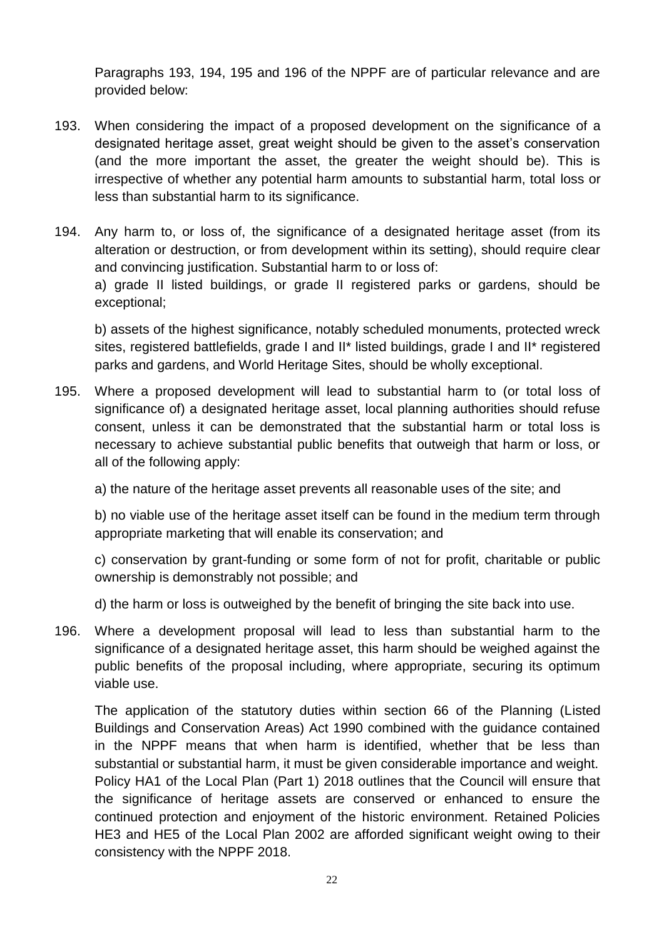Paragraphs 193, 194, 195 and 196 of the NPPF are of particular relevance and are provided below:

- 193. When considering the impact of a proposed development on the significance of a designated heritage asset, great weight should be given to the asset's conservation (and the more important the asset, the greater the weight should be). This is irrespective of whether any potential harm amounts to substantial harm, total loss or less than substantial harm to its significance.
- 194. Any harm to, or loss of, the significance of a designated heritage asset (from its alteration or destruction, or from development within its setting), should require clear and convincing justification. Substantial harm to or loss of: a) grade II listed buildings, or grade II registered parks or gardens, should be exceptional;

b) assets of the highest significance, notably scheduled monuments, protected wreck sites, registered battlefields, grade I and II\* listed buildings, grade I and II\* registered parks and gardens, and World Heritage Sites, should be wholly exceptional.

195. Where a proposed development will lead to substantial harm to (or total loss of significance of) a designated heritage asset, local planning authorities should refuse consent, unless it can be demonstrated that the substantial harm or total loss is necessary to achieve substantial public benefits that outweigh that harm or loss, or all of the following apply:

a) the nature of the heritage asset prevents all reasonable uses of the site; and

b) no viable use of the heritage asset itself can be found in the medium term through appropriate marketing that will enable its conservation; and

c) conservation by grant-funding or some form of not for profit, charitable or public ownership is demonstrably not possible; and

d) the harm or loss is outweighed by the benefit of bringing the site back into use.

196. Where a development proposal will lead to less than substantial harm to the significance of a designated heritage asset, this harm should be weighed against the public benefits of the proposal including, where appropriate, securing its optimum viable use.

The application of the statutory duties within section 66 of the Planning (Listed Buildings and Conservation Areas) Act 1990 combined with the guidance contained in the NPPF means that when harm is identified, whether that be less than substantial or substantial harm, it must be given considerable importance and weight. Policy HA1 of the Local Plan (Part 1) 2018 outlines that the Council will ensure that the significance of heritage assets are conserved or enhanced to ensure the continued protection and enjoyment of the historic environment. Retained Policies HE3 and HE5 of the Local Plan 2002 are afforded significant weight owing to their consistency with the NPPF 2018.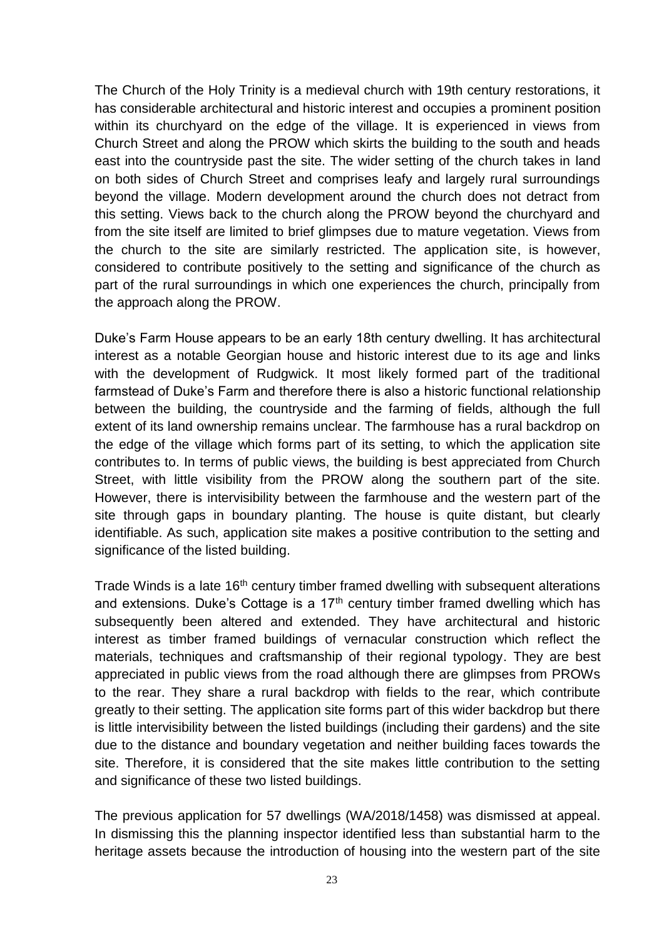The Church of the Holy Trinity is a medieval church with 19th century restorations, it has considerable architectural and historic interest and occupies a prominent position within its churchyard on the edge of the village. It is experienced in views from Church Street and along the PROW which skirts the building to the south and heads east into the countryside past the site. The wider setting of the church takes in land on both sides of Church Street and comprises leafy and largely rural surroundings beyond the village. Modern development around the church does not detract from this setting. Views back to the church along the PROW beyond the churchyard and from the site itself are limited to brief glimpses due to mature vegetation. Views from the church to the site are similarly restricted. The application site, is however, considered to contribute positively to the setting and significance of the church as part of the rural surroundings in which one experiences the church, principally from the approach along the PROW.

Duke's Farm House appears to be an early 18th century dwelling. It has architectural interest as a notable Georgian house and historic interest due to its age and links with the development of Rudgwick. It most likely formed part of the traditional farmstead of Duke's Farm and therefore there is also a historic functional relationship between the building, the countryside and the farming of fields, although the full extent of its land ownership remains unclear. The farmhouse has a rural backdrop on the edge of the village which forms part of its setting, to which the application site contributes to. In terms of public views, the building is best appreciated from Church Street, with little visibility from the PROW along the southern part of the site. However, there is intervisibility between the farmhouse and the western part of the site through gaps in boundary planting. The house is quite distant, but clearly identifiable. As such, application site makes a positive contribution to the setting and significance of the listed building.

Trade Winds is a late 16<sup>th</sup> century timber framed dwelling with subsequent alterations and extensions. Duke's Cottage is a  $17<sup>th</sup>$  century timber framed dwelling which has subsequently been altered and extended. They have architectural and historic interest as timber framed buildings of vernacular construction which reflect the materials, techniques and craftsmanship of their regional typology. They are best appreciated in public views from the road although there are glimpses from PROWs to the rear. They share a rural backdrop with fields to the rear, which contribute greatly to their setting. The application site forms part of this wider backdrop but there is little intervisibility between the listed buildings (including their gardens) and the site due to the distance and boundary vegetation and neither building faces towards the site. Therefore, it is considered that the site makes little contribution to the setting and significance of these two listed buildings.

The previous application for 57 dwellings (WA/2018/1458) was dismissed at appeal. In dismissing this the planning inspector identified less than substantial harm to the heritage assets because the introduction of housing into the western part of the site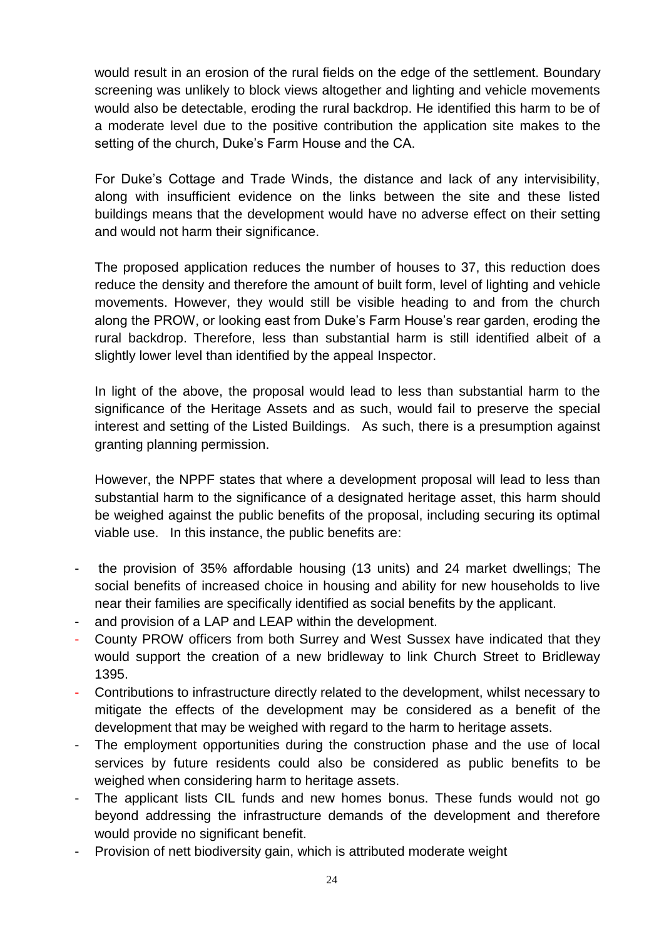would result in an erosion of the rural fields on the edge of the settlement. Boundary screening was unlikely to block views altogether and lighting and vehicle movements would also be detectable, eroding the rural backdrop. He identified this harm to be of a moderate level due to the positive contribution the application site makes to the setting of the church, Duke's Farm House and the CA.

For Duke's Cottage and Trade Winds, the distance and lack of any intervisibility, along with insufficient evidence on the links between the site and these listed buildings means that the development would have no adverse effect on their setting and would not harm their significance.

The proposed application reduces the number of houses to 37, this reduction does reduce the density and therefore the amount of built form, level of lighting and vehicle movements. However, they would still be visible heading to and from the church along the PROW, or looking east from Duke's Farm House's rear garden, eroding the rural backdrop. Therefore, less than substantial harm is still identified albeit of a slightly lower level than identified by the appeal Inspector.

In light of the above, the proposal would lead to less than substantial harm to the significance of the Heritage Assets and as such, would fail to preserve the special interest and setting of the Listed Buildings. As such, there is a presumption against granting planning permission.

However, the NPPF states that where a development proposal will lead to less than substantial harm to the significance of a designated heritage asset, this harm should be weighed against the public benefits of the proposal, including securing its optimal viable use. In this instance, the public benefits are:

- the provision of 35% affordable housing (13 units) and 24 market dwellings; The social benefits of increased choice in housing and ability for new households to live near their families are specifically identified as social benefits by the applicant.
- and provision of a LAP and LEAP within the development.
- County PROW officers from both Surrey and West Sussex have indicated that they would support the creation of a new bridleway to link Church Street to Bridleway 1395.
- Contributions to infrastructure directly related to the development, whilst necessary to mitigate the effects of the development may be considered as a benefit of the development that may be weighed with regard to the harm to heritage assets.
- The employment opportunities during the construction phase and the use of local services by future residents could also be considered as public benefits to be weighed when considering harm to heritage assets.
- The applicant lists CIL funds and new homes bonus. These funds would not go beyond addressing the infrastructure demands of the development and therefore would provide no significant benefit.
- Provision of nett biodiversity gain, which is attributed moderate weight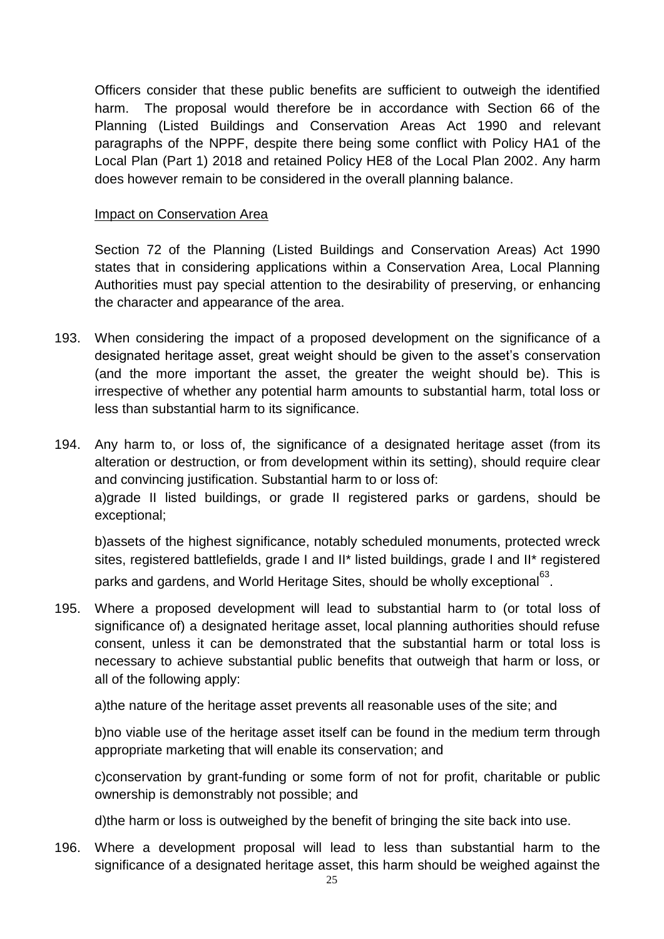Officers consider that these public benefits are sufficient to outweigh the identified harm. The proposal would therefore be in accordance with Section 66 of the Planning (Listed Buildings and Conservation Areas Act 1990 and relevant paragraphs of the NPPF, despite there being some conflict with Policy HA1 of the Local Plan (Part 1) 2018 and retained Policy HE8 of the Local Plan 2002. Any harm does however remain to be considered in the overall planning balance.

## Impact on Conservation Area

Section 72 of the Planning (Listed Buildings and Conservation Areas) Act 1990 states that in considering applications within a Conservation Area, Local Planning Authorities must pay special attention to the desirability of preserving, or enhancing the character and appearance of the area.

- 193. When considering the impact of a proposed development on the significance of a designated heritage asset, great weight should be given to the asset's conservation (and the more important the asset, the greater the weight should be). This is irrespective of whether any potential harm amounts to substantial harm, total loss or less than substantial harm to its significance.
- 194. Any harm to, or loss of, the significance of a designated heritage asset (from its alteration or destruction, or from development within its setting), should require clear and convincing justification. Substantial harm to or loss of: a)grade II listed buildings, or grade II registered parks or gardens, should be exceptional;

b)assets of the highest significance, notably scheduled monuments, protected wreck sites, registered battlefields, grade I and II\* listed buildings, grade I and II\* registered parks and gardens, and World Heritage Sites, should be wholly exceptional $^{63}.$ 

195. Where a proposed development will lead to substantial harm to (or total loss of significance of) a designated heritage asset, local planning authorities should refuse consent, unless it can be demonstrated that the substantial harm or total loss is necessary to achieve substantial public benefits that outweigh that harm or loss, or all of the following apply:

a)the nature of the heritage asset prevents all reasonable uses of the site; and

b)no viable use of the heritage asset itself can be found in the medium term through appropriate marketing that will enable its conservation; and

c)conservation by grant-funding or some form of not for profit, charitable or public ownership is demonstrably not possible; and

d)the harm or loss is outweighed by the benefit of bringing the site back into use.

196. Where a development proposal will lead to less than substantial harm to the significance of a designated heritage asset, this harm should be weighed against the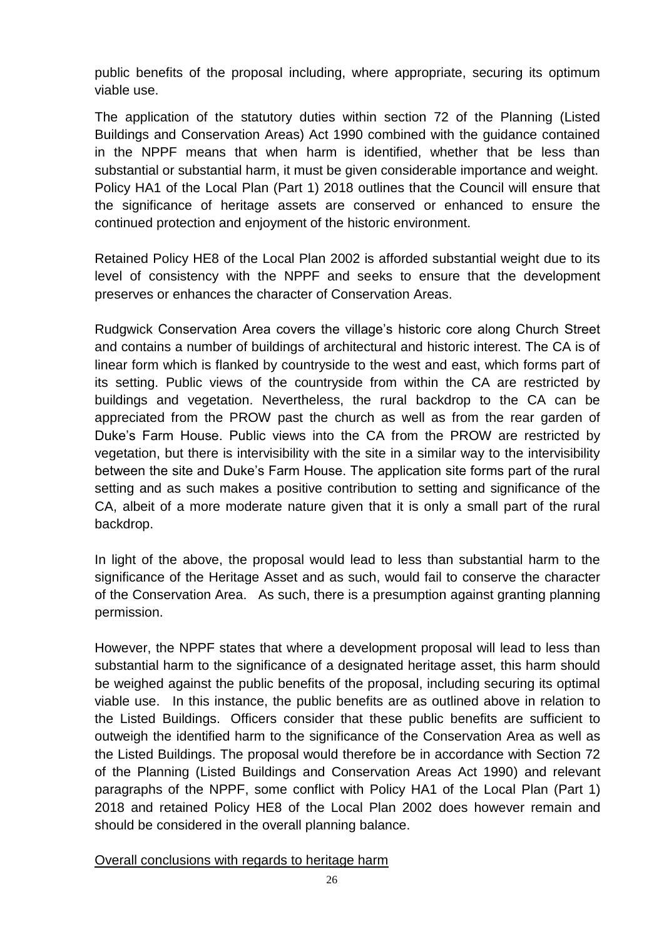public benefits of the proposal including, where appropriate, securing its optimum viable use.

The application of the statutory duties within section 72 of the Planning (Listed Buildings and Conservation Areas) Act 1990 combined with the guidance contained in the NPPF means that when harm is identified, whether that be less than substantial or substantial harm, it must be given considerable importance and weight. Policy HA1 of the Local Plan (Part 1) 2018 outlines that the Council will ensure that the significance of heritage assets are conserved or enhanced to ensure the continued protection and enjoyment of the historic environment.

Retained Policy HE8 of the Local Plan 2002 is afforded substantial weight due to its level of consistency with the NPPF and seeks to ensure that the development preserves or enhances the character of Conservation Areas.

Rudgwick Conservation Area covers the village's historic core along Church Street and contains a number of buildings of architectural and historic interest. The CA is of linear form which is flanked by countryside to the west and east, which forms part of its setting. Public views of the countryside from within the CA are restricted by buildings and vegetation. Nevertheless, the rural backdrop to the CA can be appreciated from the PROW past the church as well as from the rear garden of Duke's Farm House. Public views into the CA from the PROW are restricted by vegetation, but there is intervisibility with the site in a similar way to the intervisibility between the site and Duke's Farm House. The application site forms part of the rural setting and as such makes a positive contribution to setting and significance of the CA, albeit of a more moderate nature given that it is only a small part of the rural backdrop.

In light of the above, the proposal would lead to less than substantial harm to the significance of the Heritage Asset and as such, would fail to conserve the character of the Conservation Area. As such, there is a presumption against granting planning permission.

However, the NPPF states that where a development proposal will lead to less than substantial harm to the significance of a designated heritage asset, this harm should be weighed against the public benefits of the proposal, including securing its optimal viable use. In this instance, the public benefits are as outlined above in relation to the Listed Buildings. Officers consider that these public benefits are sufficient to outweigh the identified harm to the significance of the Conservation Area as well as the Listed Buildings. The proposal would therefore be in accordance with Section 72 of the Planning (Listed Buildings and Conservation Areas Act 1990) and relevant paragraphs of the NPPF, some conflict with Policy HA1 of the Local Plan (Part 1) 2018 and retained Policy HE8 of the Local Plan 2002 does however remain and should be considered in the overall planning balance.

Overall conclusions with regards to heritage harm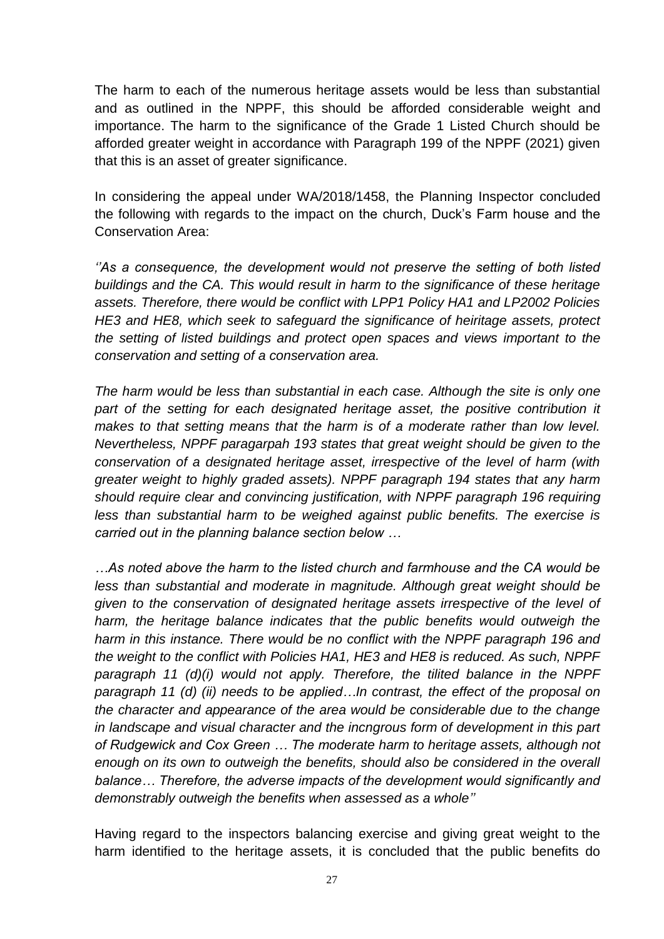The harm to each of the numerous heritage assets would be less than substantial and as outlined in the NPPF, this should be afforded considerable weight and importance. The harm to the significance of the Grade 1 Listed Church should be afforded greater weight in accordance with Paragraph 199 of the NPPF (2021) given that this is an asset of greater significance.

In considering the appeal under WA/2018/1458, the Planning Inspector concluded the following with regards to the impact on the church, Duck's Farm house and the Conservation Area:

*''As a consequence, the development would not preserve the setting of both listed buildings and the CA. This would result in harm to the significance of these heritage assets. Therefore, there would be conflict with LPP1 Policy HA1 and LP2002 Policies HE3 and HE8, which seek to safeguard the significance of heiritage assets, protect the setting of listed buildings and protect open spaces and views important to the conservation and setting of a conservation area.*

*The harm would be less than substantial in each case. Although the site is only one*  part of the setting for each designated heritage asset, the positive contribution it *makes to that setting means that the harm is of a moderate rather than low level. Nevertheless, NPPF paragarpah 193 states that great weight should be given to the conservation of a designated heritage asset, irrespective of the level of harm (with greater weight to highly graded assets). NPPF paragraph 194 states that any harm should require clear and convincing justification, with NPPF paragraph 196 requiring less than substantial harm to be weighed against public benefits. The exercise is carried out in the planning balance section below …*

*…As noted above the harm to the listed church and farmhouse and the CA would be less than substantial and moderate in magnitude. Although great weight should be given to the conservation of designated heritage assets irrespective of the level of harm, the heritage balance indicates that the public benefits would outweigh the harm in this instance. There would be no conflict with the NPPF paragraph 196 and the weight to the conflict with Policies HA1, HE3 and HE8 is reduced. As such, NPPF paragraph 11 (d)(i) would not apply. Therefore, the tilited balance in the NPPF paragraph 11 (d) (ii) needs to be applied…In contrast, the effect of the proposal on the character and appearance of the area would be considerable due to the change in landscape and visual character and the incngrous form of development in this part of Rudgewick and Cox Green … The moderate harm to heritage assets, although not enough on its own to outweigh the benefits, should also be considered in the overall balance… Therefore, the adverse impacts of the development would significantly and demonstrably outweigh the benefits when assessed as a whole''*

Having regard to the inspectors balancing exercise and giving great weight to the harm identified to the heritage assets, it is concluded that the public benefits do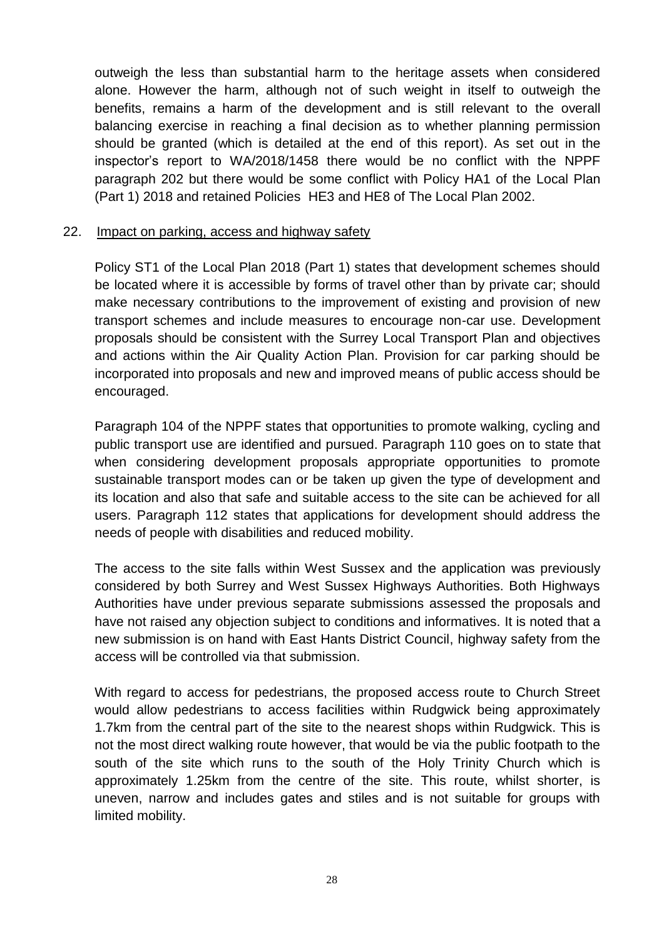outweigh the less than substantial harm to the heritage assets when considered alone. However the harm, although not of such weight in itself to outweigh the benefits, remains a harm of the development and is still relevant to the overall balancing exercise in reaching a final decision as to whether planning permission should be granted (which is detailed at the end of this report). As set out in the inspector's report to WA/2018/1458 there would be no conflict with the NPPF paragraph 202 but there would be some conflict with Policy HA1 of the Local Plan (Part 1) 2018 and retained Policies HE3 and HE8 of The Local Plan 2002.

#### 22. Impact on parking, access and highway safety

Policy ST1 of the Local Plan 2018 (Part 1) states that development schemes should be located where it is accessible by forms of travel other than by private car; should make necessary contributions to the improvement of existing and provision of new transport schemes and include measures to encourage non-car use. Development proposals should be consistent with the Surrey Local Transport Plan and objectives and actions within the Air Quality Action Plan. Provision for car parking should be incorporated into proposals and new and improved means of public access should be encouraged.

Paragraph 104 of the NPPF states that opportunities to promote walking, cycling and public transport use are identified and pursued. Paragraph 110 goes on to state that when considering development proposals appropriate opportunities to promote sustainable transport modes can or be taken up given the type of development and its location and also that safe and suitable access to the site can be achieved for all users. Paragraph 112 states that applications for development should address the needs of people with disabilities and reduced mobility.

The access to the site falls within West Sussex and the application was previously considered by both Surrey and West Sussex Highways Authorities. Both Highways Authorities have under previous separate submissions assessed the proposals and have not raised any objection subject to conditions and informatives. It is noted that a new submission is on hand with East Hants District Council, highway safety from the access will be controlled via that submission.

With regard to access for pedestrians, the proposed access route to Church Street would allow pedestrians to access facilities within Rudgwick being approximately 1.7km from the central part of the site to the nearest shops within Rudgwick. This is not the most direct walking route however, that would be via the public footpath to the south of the site which runs to the south of the Holy Trinity Church which is approximately 1.25km from the centre of the site. This route, whilst shorter, is uneven, narrow and includes gates and stiles and is not suitable for groups with limited mobility.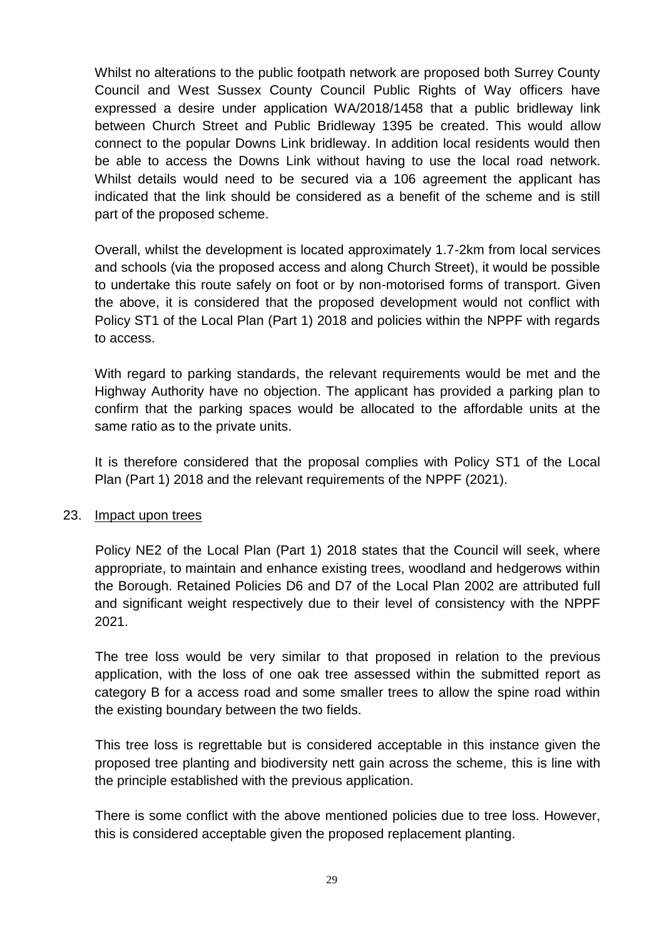Whilst no alterations to the public footpath network are proposed both Surrey County Council and West Sussex County Council Public Rights of Way officers have expressed a desire under application WA/2018/1458 that a public bridleway link between Church Street and Public Bridleway 1395 be created. This would allow connect to the popular Downs Link bridleway. In addition local residents would then be able to access the Downs Link without having to use the local road network. Whilst details would need to be secured via a 106 agreement the applicant has indicated that the link should be considered as a benefit of the scheme and is still part of the proposed scheme.

Overall, whilst the development is located approximately 1.7-2km from local services and schools (via the proposed access and along Church Street), it would be possible to undertake this route safely on foot or by non-motorised forms of transport. Given the above, it is considered that the proposed development would not conflict with Policy ST1 of the Local Plan (Part 1) 2018 and policies within the NPPF with regards to access.

With regard to parking standards, the relevant requirements would be met and the Highway Authority have no objection. The applicant has provided a parking plan to confirm that the parking spaces would be allocated to the affordable units at the same ratio as to the private units.

It is therefore considered that the proposal complies with Policy ST1 of the Local Plan (Part 1) 2018 and the relevant requirements of the NPPF (2021).

## 23. Impact upon trees

Policy NE2 of the Local Plan (Part 1) 2018 states that the Council will seek, where appropriate, to maintain and enhance existing trees, woodland and hedgerows within the Borough. Retained Policies D6 and D7 of the Local Plan 2002 are attributed full and significant weight respectively due to their level of consistency with the NPPF 2021.

The tree loss would be very similar to that proposed in relation to the previous application, with the loss of one oak tree assessed within the submitted report as category B for a access road and some smaller trees to allow the spine road within the existing boundary between the two fields.

This tree loss is regrettable but is considered acceptable in this instance given the proposed tree planting and biodiversity nett gain across the scheme, this is line with the principle established with the previous application.

There is some conflict with the above mentioned policies due to tree loss. However, this is considered acceptable given the proposed replacement planting.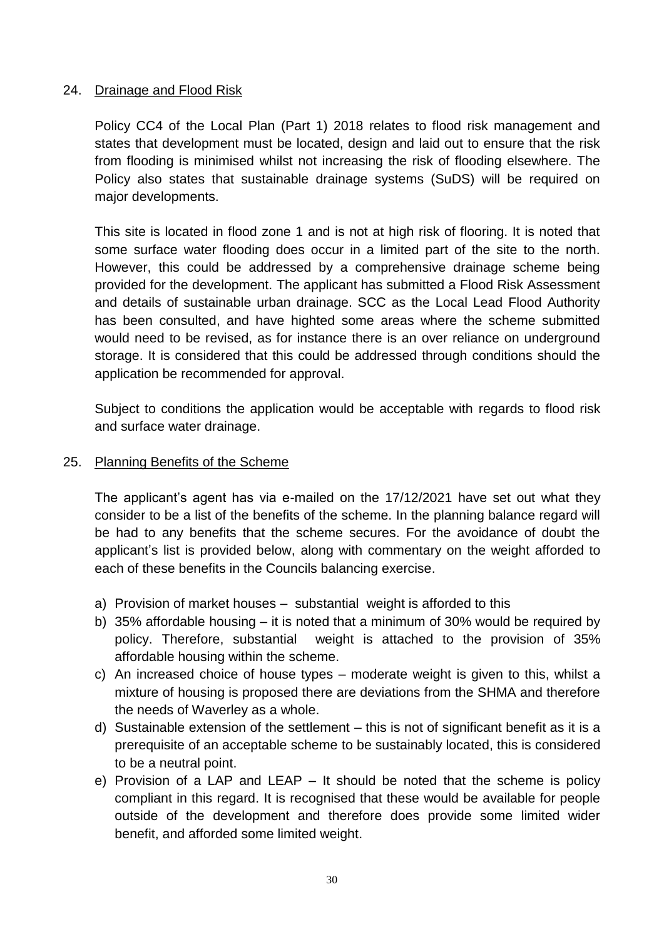# 24. Drainage and Flood Risk

Policy CC4 of the Local Plan (Part 1) 2018 relates to flood risk management and states that development must be located, design and laid out to ensure that the risk from flooding is minimised whilst not increasing the risk of flooding elsewhere. The Policy also states that sustainable drainage systems (SuDS) will be required on major developments.

This site is located in flood zone 1 and is not at high risk of flooring. It is noted that some surface water flooding does occur in a limited part of the site to the north. However, this could be addressed by a comprehensive drainage scheme being provided for the development. The applicant has submitted a Flood Risk Assessment and details of sustainable urban drainage. SCC as the Local Lead Flood Authority has been consulted, and have highted some areas where the scheme submitted would need to be revised, as for instance there is an over reliance on underground storage. It is considered that this could be addressed through conditions should the application be recommended for approval.

Subject to conditions the application would be acceptable with regards to flood risk and surface water drainage.

## 25. Planning Benefits of the Scheme

The applicant's agent has via e-mailed on the 17/12/2021 have set out what they consider to be a list of the benefits of the scheme. In the planning balance regard will be had to any benefits that the scheme secures. For the avoidance of doubt the applicant's list is provided below, along with commentary on the weight afforded to each of these benefits in the Councils balancing exercise.

- a) Provision of market houses substantial weight is afforded to this
- b) 35% affordable housing it is noted that a minimum of 30% would be required by policy. Therefore, substantial weight is attached to the provision of 35% affordable housing within the scheme.
- c) An increased choice of house types moderate weight is given to this, whilst a mixture of housing is proposed there are deviations from the SHMA and therefore the needs of Waverley as a whole.
- d) Sustainable extension of the settlement this is not of significant benefit as it is a prerequisite of an acceptable scheme to be sustainably located, this is considered to be a neutral point.
- e) Provision of a LAP and LEAP It should be noted that the scheme is policy compliant in this regard. It is recognised that these would be available for people outside of the development and therefore does provide some limited wider benefit, and afforded some limited weight.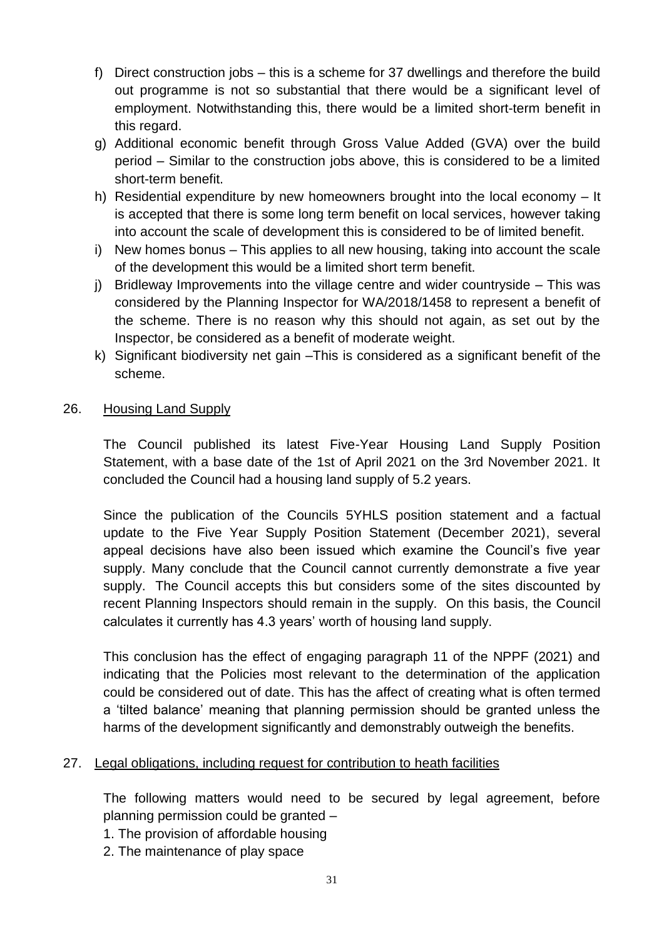- f) Direct construction jobs this is a scheme for 37 dwellings and therefore the build out programme is not so substantial that there would be a significant level of employment. Notwithstanding this, there would be a limited short-term benefit in this regard.
- g) Additional economic benefit through Gross Value Added (GVA) over the build period – Similar to the construction jobs above, this is considered to be a limited short-term benefit.
- h) Residential expenditure by new homeowners brought into the local economy It is accepted that there is some long term benefit on local services, however taking into account the scale of development this is considered to be of limited benefit.
- i) New homes bonus This applies to all new housing, taking into account the scale of the development this would be a limited short term benefit.
- j) Bridleway Improvements into the village centre and wider countryside This was considered by the Planning Inspector for WA/2018/1458 to represent a benefit of the scheme. There is no reason why this should not again, as set out by the Inspector, be considered as a benefit of moderate weight.
- k) Significant biodiversity net gain –This is considered as a significant benefit of the scheme.

# 26. Housing Land Supply

The Council published its latest Five-Year Housing Land Supply Position Statement, with a base date of the 1st of April 2021 on the 3rd November 2021. It concluded the Council had a housing land supply of 5.2 years.

Since the publication of the Councils 5YHLS position statement and a factual update to the Five Year Supply Position Statement (December 2021), several appeal decisions have also been issued which examine the Council's five year supply. Many conclude that the Council cannot currently demonstrate a five year supply. The Council accepts this but considers some of the sites discounted by recent Planning Inspectors should remain in the supply. On this basis, the Council calculates it currently has 4.3 years' worth of housing land supply.

This conclusion has the effect of engaging paragraph 11 of the NPPF (2021) and indicating that the Policies most relevant to the determination of the application could be considered out of date. This has the affect of creating what is often termed a 'tilted balance' meaning that planning permission should be granted unless the harms of the development significantly and demonstrably outweigh the benefits.

## 27. Legal obligations, including request for contribution to heath facilities

The following matters would need to be secured by legal agreement, before planning permission could be granted –

- 1. The provision of affordable housing
- 2. The maintenance of play space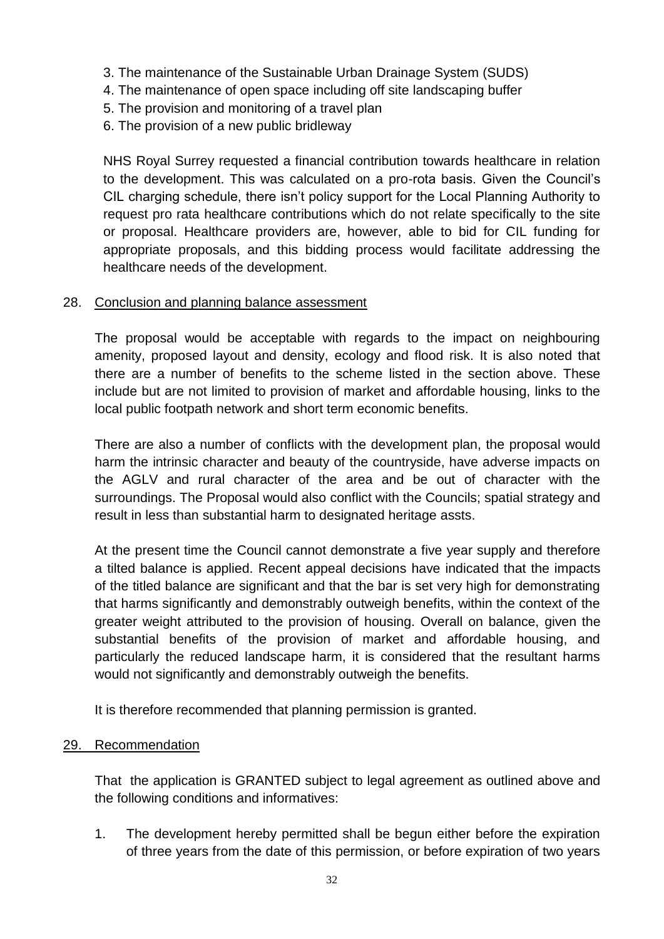- 3. The maintenance of the Sustainable Urban Drainage System (SUDS)
- 4. The maintenance of open space including off site landscaping buffer
- 5. The provision and monitoring of a travel plan
- 6. The provision of a new public bridleway

NHS Royal Surrey requested a financial contribution towards healthcare in relation to the development. This was calculated on a pro-rota basis. Given the Council's CIL charging schedule, there isn't policy support for the Local Planning Authority to request pro rata healthcare contributions which do not relate specifically to the site or proposal. Healthcare providers are, however, able to bid for CIL funding for appropriate proposals, and this bidding process would facilitate addressing the healthcare needs of the development.

## 28. Conclusion and planning balance assessment

The proposal would be acceptable with regards to the impact on neighbouring amenity, proposed layout and density, ecology and flood risk. It is also noted that there are a number of benefits to the scheme listed in the section above. These include but are not limited to provision of market and affordable housing, links to the local public footpath network and short term economic benefits.

There are also a number of conflicts with the development plan, the proposal would harm the intrinsic character and beauty of the countryside, have adverse impacts on the AGLV and rural character of the area and be out of character with the surroundings. The Proposal would also conflict with the Councils; spatial strategy and result in less than substantial harm to designated heritage assts.

At the present time the Council cannot demonstrate a five year supply and therefore a tilted balance is applied. Recent appeal decisions have indicated that the impacts of the titled balance are significant and that the bar is set very high for demonstrating that harms significantly and demonstrably outweigh benefits, within the context of the greater weight attributed to the provision of housing. Overall on balance, given the substantial benefits of the provision of market and affordable housing, and particularly the reduced landscape harm, it is considered that the resultant harms would not significantly and demonstrably outweigh the benefits.

It is therefore recommended that planning permission is granted.

## 29. Recommendation

That the application is GRANTED subject to legal agreement as outlined above and the following conditions and informatives:

1. The development hereby permitted shall be begun either before the expiration of three years from the date of this permission, or before expiration of two years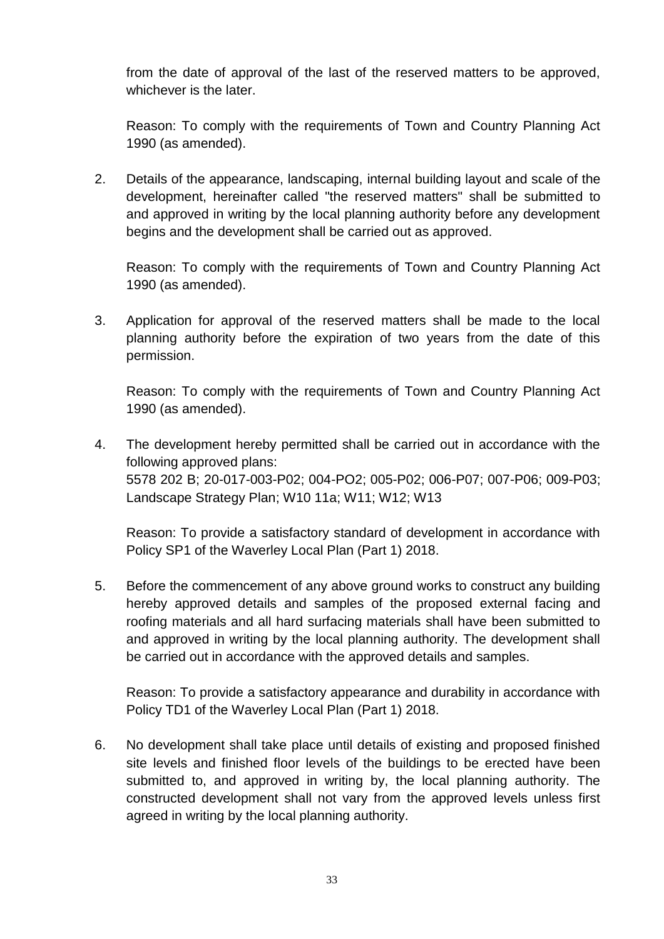from the date of approval of the last of the reserved matters to be approved, whichever is the later.

Reason: To comply with the requirements of Town and Country Planning Act 1990 (as amended).

2. Details of the appearance, landscaping, internal building layout and scale of the development, hereinafter called "the reserved matters" shall be submitted to and approved in writing by the local planning authority before any development begins and the development shall be carried out as approved.

Reason: To comply with the requirements of Town and Country Planning Act 1990 (as amended).

3. Application for approval of the reserved matters shall be made to the local planning authority before the expiration of two years from the date of this permission.

Reason: To comply with the requirements of Town and Country Planning Act 1990 (as amended).

4. The development hereby permitted shall be carried out in accordance with the following approved plans: 5578 202 B; 20-017-003-P02; 004-PO2; 005-P02; 006-P07; 007-P06; 009-P03; Landscape Strategy Plan; W10 11a; W11; W12; W13

Reason: To provide a satisfactory standard of development in accordance with Policy SP1 of the Waverley Local Plan (Part 1) 2018.

5. Before the commencement of any above ground works to construct any building hereby approved details and samples of the proposed external facing and roofing materials and all hard surfacing materials shall have been submitted to and approved in writing by the local planning authority. The development shall be carried out in accordance with the approved details and samples.

Reason: To provide a satisfactory appearance and durability in accordance with Policy TD1 of the Waverley Local Plan (Part 1) 2018.

6. No development shall take place until details of existing and proposed finished site levels and finished floor levels of the buildings to be erected have been submitted to, and approved in writing by, the local planning authority. The constructed development shall not vary from the approved levels unless first agreed in writing by the local planning authority.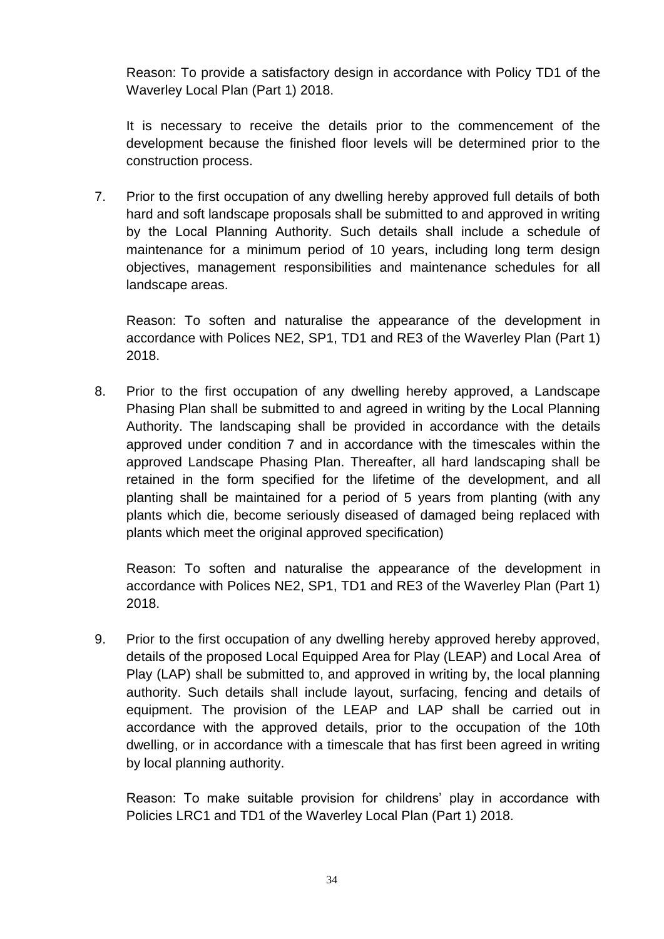Reason: To provide a satisfactory design in accordance with Policy TD1 of the Waverley Local Plan (Part 1) 2018.

It is necessary to receive the details prior to the commencement of the development because the finished floor levels will be determined prior to the construction process.

7. Prior to the first occupation of any dwelling hereby approved full details of both hard and soft landscape proposals shall be submitted to and approved in writing by the Local Planning Authority. Such details shall include a schedule of maintenance for a minimum period of 10 years, including long term design objectives, management responsibilities and maintenance schedules for all landscape areas.

Reason: To soften and naturalise the appearance of the development in accordance with Polices NE2, SP1, TD1 and RE3 of the Waverley Plan (Part 1) 2018.

8. Prior to the first occupation of any dwelling hereby approved, a Landscape Phasing Plan shall be submitted to and agreed in writing by the Local Planning Authority. The landscaping shall be provided in accordance with the details approved under condition 7 and in accordance with the timescales within the approved Landscape Phasing Plan. Thereafter, all hard landscaping shall be retained in the form specified for the lifetime of the development, and all planting shall be maintained for a period of 5 years from planting (with any plants which die, become seriously diseased of damaged being replaced with plants which meet the original approved specification)

Reason: To soften and naturalise the appearance of the development in accordance with Polices NE2, SP1, TD1 and RE3 of the Waverley Plan (Part 1) 2018.

9. Prior to the first occupation of any dwelling hereby approved hereby approved, details of the proposed Local Equipped Area for Play (LEAP) and Local Area of Play (LAP) shall be submitted to, and approved in writing by, the local planning authority. Such details shall include layout, surfacing, fencing and details of equipment. The provision of the LEAP and LAP shall be carried out in accordance with the approved details, prior to the occupation of the 10th dwelling, or in accordance with a timescale that has first been agreed in writing by local planning authority.

Reason: To make suitable provision for childrens' play in accordance with Policies LRC1 and TD1 of the Waverley Local Plan (Part 1) 2018.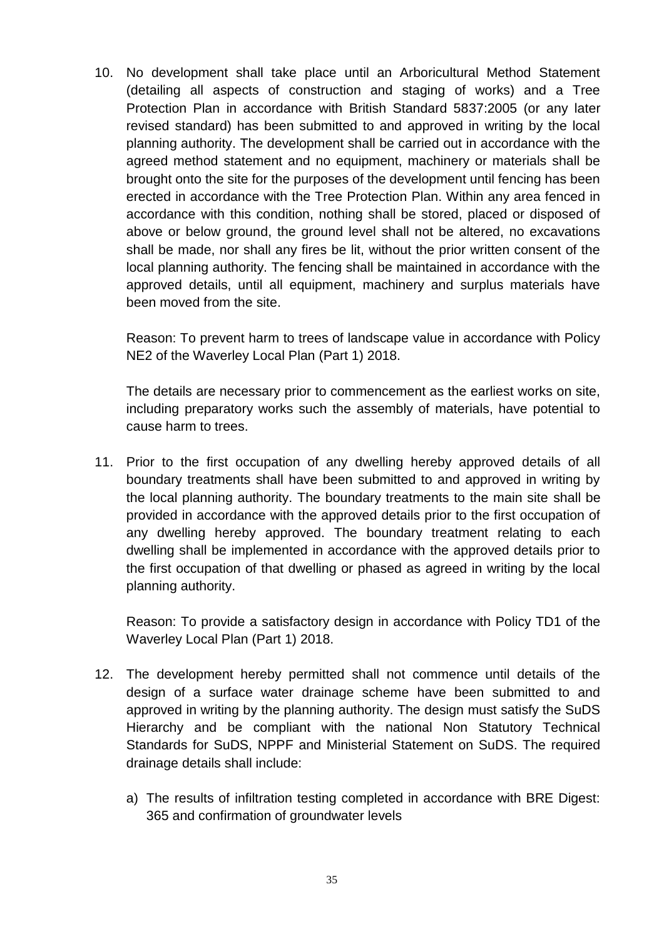10. No development shall take place until an Arboricultural Method Statement (detailing all aspects of construction and staging of works) and a Tree Protection Plan in accordance with British Standard 5837:2005 (or any later revised standard) has been submitted to and approved in writing by the local planning authority. The development shall be carried out in accordance with the agreed method statement and no equipment, machinery or materials shall be brought onto the site for the purposes of the development until fencing has been erected in accordance with the Tree Protection Plan. Within any area fenced in accordance with this condition, nothing shall be stored, placed or disposed of above or below ground, the ground level shall not be altered, no excavations shall be made, nor shall any fires be lit, without the prior written consent of the local planning authority. The fencing shall be maintained in accordance with the approved details, until all equipment, machinery and surplus materials have been moved from the site.

Reason: To prevent harm to trees of landscape value in accordance with Policy NE2 of the Waverley Local Plan (Part 1) 2018.

The details are necessary prior to commencement as the earliest works on site, including preparatory works such the assembly of materials, have potential to cause harm to trees.

11. Prior to the first occupation of any dwelling hereby approved details of all boundary treatments shall have been submitted to and approved in writing by the local planning authority. The boundary treatments to the main site shall be provided in accordance with the approved details prior to the first occupation of any dwelling hereby approved. The boundary treatment relating to each dwelling shall be implemented in accordance with the approved details prior to the first occupation of that dwelling or phased as agreed in writing by the local planning authority.

Reason: To provide a satisfactory design in accordance with Policy TD1 of the Waverley Local Plan (Part 1) 2018.

- 12. The development hereby permitted shall not commence until details of the design of a surface water drainage scheme have been submitted to and approved in writing by the planning authority. The design must satisfy the SuDS Hierarchy and be compliant with the national Non Statutory Technical Standards for SuDS, NPPF and Ministerial Statement on SuDS. The required drainage details shall include:
	- a) The results of infiltration testing completed in accordance with BRE Digest: 365 and confirmation of groundwater levels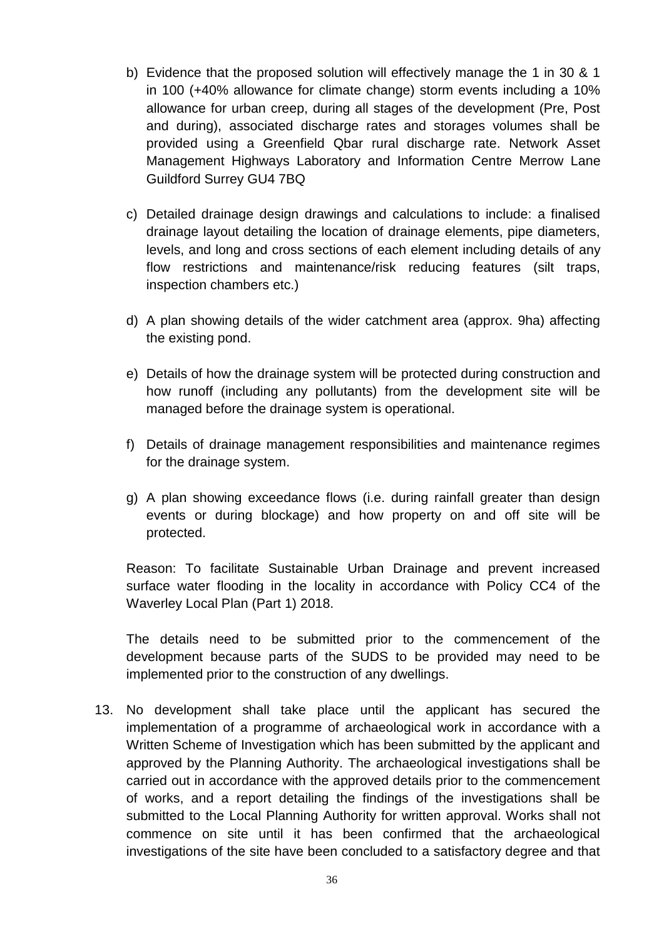- b) Evidence that the proposed solution will effectively manage the 1 in 30 & 1 in 100 (+40% allowance for climate change) storm events including a 10% allowance for urban creep, during all stages of the development (Pre, Post and during), associated discharge rates and storages volumes shall be provided using a Greenfield Qbar rural discharge rate. Network Asset Management Highways Laboratory and Information Centre Merrow Lane Guildford Surrey GU4 7BQ
- c) Detailed drainage design drawings and calculations to include: a finalised drainage layout detailing the location of drainage elements, pipe diameters, levels, and long and cross sections of each element including details of any flow restrictions and maintenance/risk reducing features (silt traps, inspection chambers etc.)
- d) A plan showing details of the wider catchment area (approx. 9ha) affecting the existing pond.
- e) Details of how the drainage system will be protected during construction and how runoff (including any pollutants) from the development site will be managed before the drainage system is operational.
- f) Details of drainage management responsibilities and maintenance regimes for the drainage system.
- g) A plan showing exceedance flows (i.e. during rainfall greater than design events or during blockage) and how property on and off site will be protected.

Reason: To facilitate Sustainable Urban Drainage and prevent increased surface water flooding in the locality in accordance with Policy CC4 of the Waverley Local Plan (Part 1) 2018.

The details need to be submitted prior to the commencement of the development because parts of the SUDS to be provided may need to be implemented prior to the construction of any dwellings.

13. No development shall take place until the applicant has secured the implementation of a programme of archaeological work in accordance with a Written Scheme of Investigation which has been submitted by the applicant and approved by the Planning Authority. The archaeological investigations shall be carried out in accordance with the approved details prior to the commencement of works, and a report detailing the findings of the investigations shall be submitted to the Local Planning Authority for written approval. Works shall not commence on site until it has been confirmed that the archaeological investigations of the site have been concluded to a satisfactory degree and that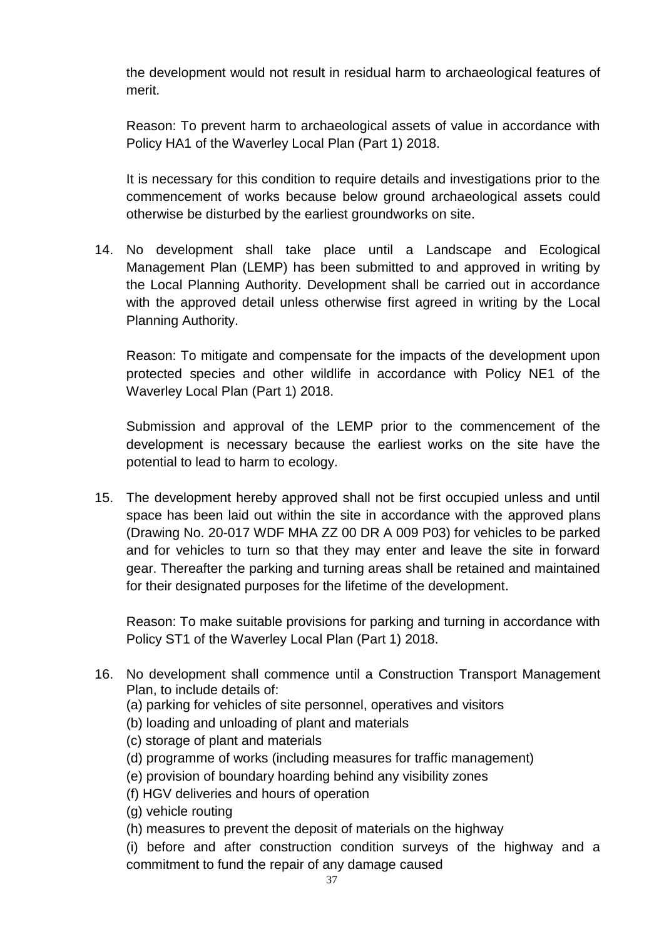the development would not result in residual harm to archaeological features of merit.

Reason: To prevent harm to archaeological assets of value in accordance with Policy HA1 of the Waverley Local Plan (Part 1) 2018.

It is necessary for this condition to require details and investigations prior to the commencement of works because below ground archaeological assets could otherwise be disturbed by the earliest groundworks on site.

14. No development shall take place until a Landscape and Ecological Management Plan (LEMP) has been submitted to and approved in writing by the Local Planning Authority. Development shall be carried out in accordance with the approved detail unless otherwise first agreed in writing by the Local Planning Authority.

Reason: To mitigate and compensate for the impacts of the development upon protected species and other wildlife in accordance with Policy NE1 of the Waverley Local Plan (Part 1) 2018.

Submission and approval of the LEMP prior to the commencement of the development is necessary because the earliest works on the site have the potential to lead to harm to ecology.

15. The development hereby approved shall not be first occupied unless and until space has been laid out within the site in accordance with the approved plans (Drawing No. 20-017 WDF MHA ZZ 00 DR A 009 P03) for vehicles to be parked and for vehicles to turn so that they may enter and leave the site in forward gear. Thereafter the parking and turning areas shall be retained and maintained for their designated purposes for the lifetime of the development.

Reason: To make suitable provisions for parking and turning in accordance with Policy ST1 of the Waverley Local Plan (Part 1) 2018.

- 16. No development shall commence until a Construction Transport Management Plan, to include details of:
	- (a) parking for vehicles of site personnel, operatives and visitors
	- (b) loading and unloading of plant and materials
	- (c) storage of plant and materials
	- (d) programme of works (including measures for traffic management)
	- (e) provision of boundary hoarding behind any visibility zones
	- (f) HGV deliveries and hours of operation
	- (g) vehicle routing
	- (h) measures to prevent the deposit of materials on the highway
	- (i) before and after construction condition surveys of the highway and a commitment to fund the repair of any damage caused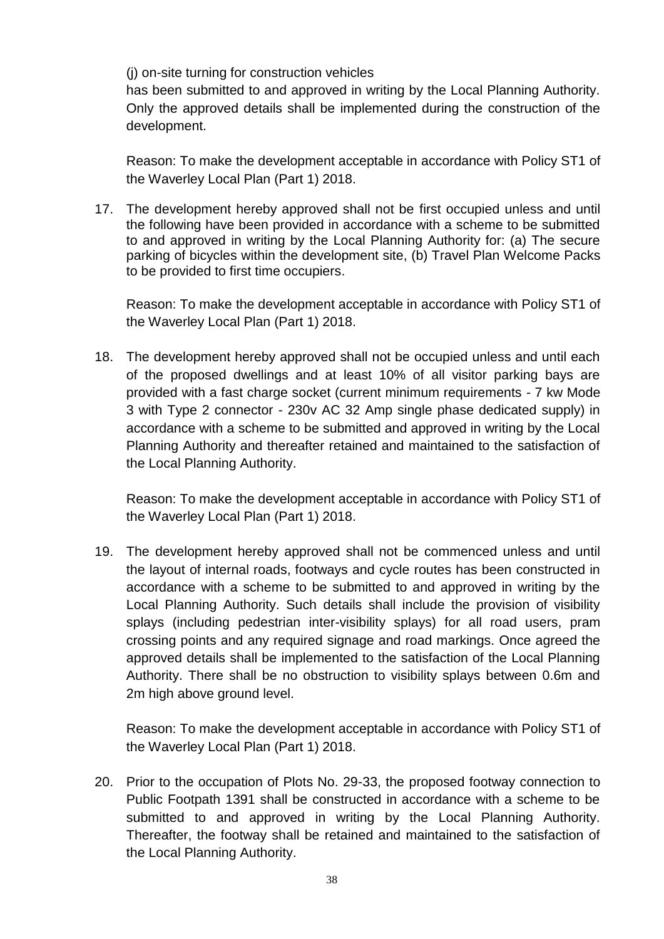(j) on-site turning for construction vehicles

has been submitted to and approved in writing by the Local Planning Authority. Only the approved details shall be implemented during the construction of the development.

Reason: To make the development acceptable in accordance with Policy ST1 of the Waverley Local Plan (Part 1) 2018.

17. The development hereby approved shall not be first occupied unless and until the following have been provided in accordance with a scheme to be submitted to and approved in writing by the Local Planning Authority for: (a) The secure parking of bicycles within the development site, (b) Travel Plan Welcome Packs to be provided to first time occupiers.

Reason: To make the development acceptable in accordance with Policy ST1 of the Waverley Local Plan (Part 1) 2018.

18. The development hereby approved shall not be occupied unless and until each of the proposed dwellings and at least 10% of all visitor parking bays are provided with a fast charge socket (current minimum requirements - 7 kw Mode 3 with Type 2 connector - 230v AC 32 Amp single phase dedicated supply) in accordance with a scheme to be submitted and approved in writing by the Local Planning Authority and thereafter retained and maintained to the satisfaction of the Local Planning Authority.

Reason: To make the development acceptable in accordance with Policy ST1 of the Waverley Local Plan (Part 1) 2018.

19. The development hereby approved shall not be commenced unless and until the layout of internal roads, footways and cycle routes has been constructed in accordance with a scheme to be submitted to and approved in writing by the Local Planning Authority. Such details shall include the provision of visibility splays (including pedestrian inter-visibility splays) for all road users, pram crossing points and any required signage and road markings. Once agreed the approved details shall be implemented to the satisfaction of the Local Planning Authority. There shall be no obstruction to visibility splays between 0.6m and 2m high above ground level.

Reason: To make the development acceptable in accordance with Policy ST1 of the Waverley Local Plan (Part 1) 2018.

20. Prior to the occupation of Plots No. 29-33, the proposed footway connection to Public Footpath 1391 shall be constructed in accordance with a scheme to be submitted to and approved in writing by the Local Planning Authority. Thereafter, the footway shall be retained and maintained to the satisfaction of the Local Planning Authority.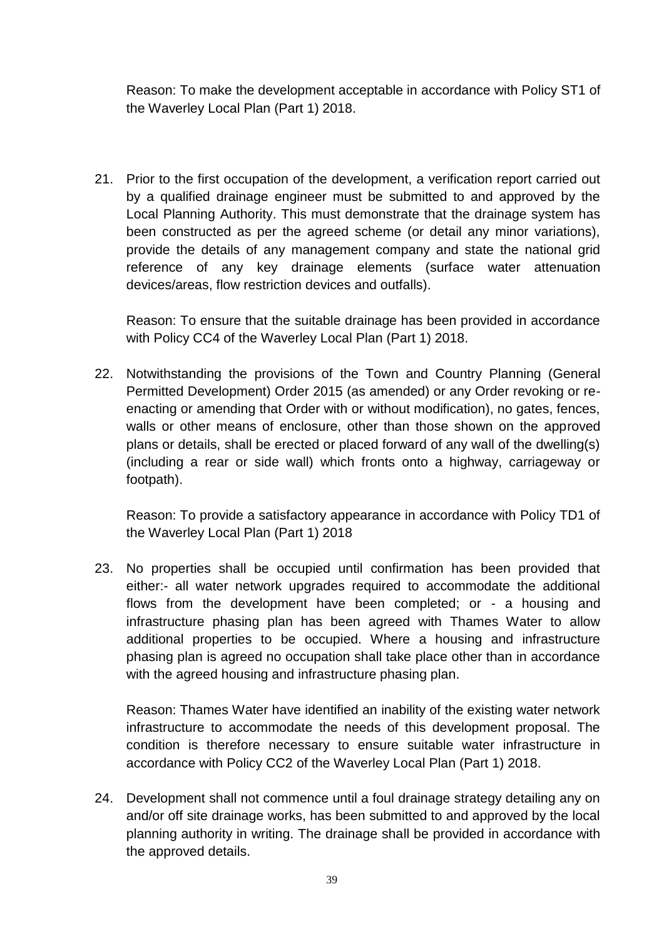Reason: To make the development acceptable in accordance with Policy ST1 of the Waverley Local Plan (Part 1) 2018.

21. Prior to the first occupation of the development, a verification report carried out by a qualified drainage engineer must be submitted to and approved by the Local Planning Authority. This must demonstrate that the drainage system has been constructed as per the agreed scheme (or detail any minor variations), provide the details of any management company and state the national grid reference of any key drainage elements (surface water attenuation devices/areas, flow restriction devices and outfalls).

Reason: To ensure that the suitable drainage has been provided in accordance with Policy CC4 of the Waverley Local Plan (Part 1) 2018.

22. Notwithstanding the provisions of the Town and Country Planning (General Permitted Development) Order 2015 (as amended) or any Order revoking or reenacting or amending that Order with or without modification), no gates, fences, walls or other means of enclosure, other than those shown on the approved plans or details, shall be erected or placed forward of any wall of the dwelling(s) (including a rear or side wall) which fronts onto a highway, carriageway or footpath).

Reason: To provide a satisfactory appearance in accordance with Policy TD1 of the Waverley Local Plan (Part 1) 2018

23. No properties shall be occupied until confirmation has been provided that either:- all water network upgrades required to accommodate the additional flows from the development have been completed; or - a housing and infrastructure phasing plan has been agreed with Thames Water to allow additional properties to be occupied. Where a housing and infrastructure phasing plan is agreed no occupation shall take place other than in accordance with the agreed housing and infrastructure phasing plan.

Reason: Thames Water have identified an inability of the existing water network infrastructure to accommodate the needs of this development proposal. The condition is therefore necessary to ensure suitable water infrastructure in accordance with Policy CC2 of the Waverley Local Plan (Part 1) 2018.

24. Development shall not commence until a foul drainage strategy detailing any on and/or off site drainage works, has been submitted to and approved by the local planning authority in writing. The drainage shall be provided in accordance with the approved details.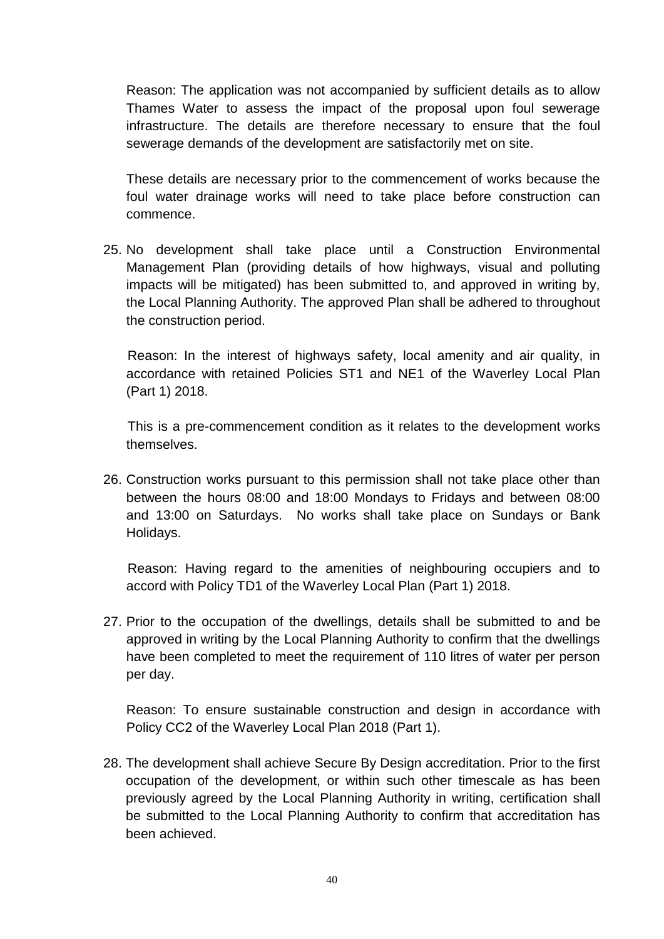Reason: The application was not accompanied by sufficient details as to allow Thames Water to assess the impact of the proposal upon foul sewerage infrastructure. The details are therefore necessary to ensure that the foul sewerage demands of the development are satisfactorily met on site.

These details are necessary prior to the commencement of works because the foul water drainage works will need to take place before construction can commence.

25. No development shall take place until a Construction Environmental Management Plan (providing details of how highways, visual and polluting impacts will be mitigated) has been submitted to, and approved in writing by, the Local Planning Authority. The approved Plan shall be adhered to throughout the construction period.

Reason: In the interest of highways safety, local amenity and air quality, in accordance with retained Policies ST1 and NE1 of the Waverley Local Plan (Part 1) 2018.

This is a pre-commencement condition as it relates to the development works themselves.

26. Construction works pursuant to this permission shall not take place other than between the hours 08:00 and 18:00 Mondays to Fridays and between 08:00 and 13:00 on Saturdays. No works shall take place on Sundays or Bank Holidays.

Reason: Having regard to the amenities of neighbouring occupiers and to accord with Policy TD1 of the Waverley Local Plan (Part 1) 2018.

27. Prior to the occupation of the dwellings, details shall be submitted to and be approved in writing by the Local Planning Authority to confirm that the dwellings have been completed to meet the requirement of 110 litres of water per person per day.

Reason: To ensure sustainable construction and design in accordance with Policy CC2 of the Waverley Local Plan 2018 (Part 1).

28. The development shall achieve Secure By Design accreditation. Prior to the first occupation of the development, or within such other timescale as has been previously agreed by the Local Planning Authority in writing, certification shall be submitted to the Local Planning Authority to confirm that accreditation has been achieved.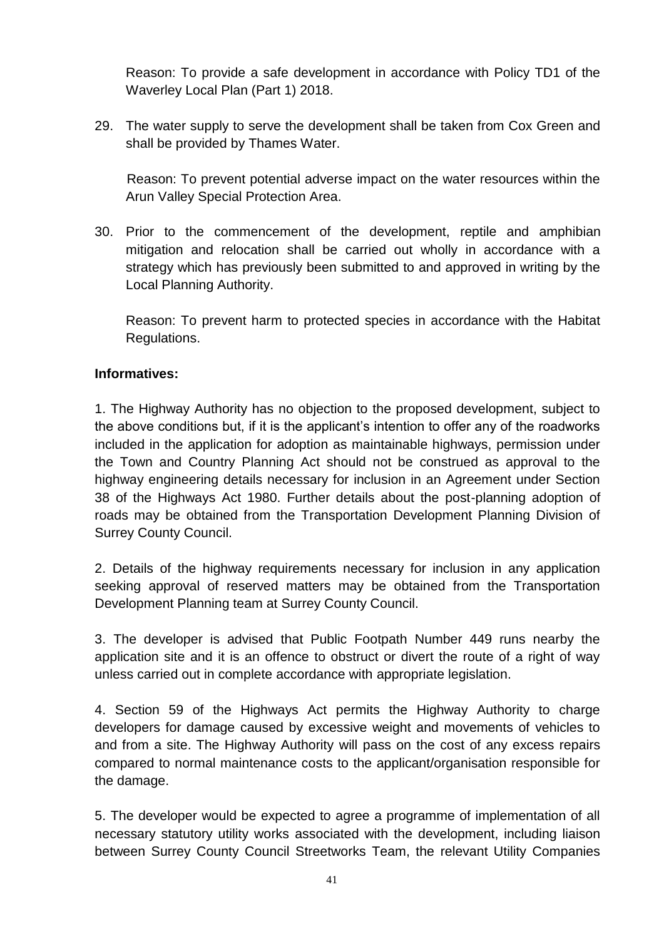Reason: To provide a safe development in accordance with Policy TD1 of the Waverley Local Plan (Part 1) 2018.

29. The water supply to serve the development shall be taken from Cox Green and shall be provided by Thames Water.

Reason: To prevent potential adverse impact on the water resources within the Arun Valley Special Protection Area.

30. Prior to the commencement of the development, reptile and amphibian mitigation and relocation shall be carried out wholly in accordance with a strategy which has previously been submitted to and approved in writing by the Local Planning Authority.

Reason: To prevent harm to protected species in accordance with the Habitat Regulations.

# **Informatives:**

1. The Highway Authority has no objection to the proposed development, subject to the above conditions but, if it is the applicant's intention to offer any of the roadworks included in the application for adoption as maintainable highways, permission under the Town and Country Planning Act should not be construed as approval to the highway engineering details necessary for inclusion in an Agreement under Section 38 of the Highways Act 1980. Further details about the post-planning adoption of roads may be obtained from the Transportation Development Planning Division of Surrey County Council.

2. Details of the highway requirements necessary for inclusion in any application seeking approval of reserved matters may be obtained from the Transportation Development Planning team at Surrey County Council.

3. The developer is advised that Public Footpath Number 449 runs nearby the application site and it is an offence to obstruct or divert the route of a right of way unless carried out in complete accordance with appropriate legislation.

4. Section 59 of the Highways Act permits the Highway Authority to charge developers for damage caused by excessive weight and movements of vehicles to and from a site. The Highway Authority will pass on the cost of any excess repairs compared to normal maintenance costs to the applicant/organisation responsible for the damage.

5. The developer would be expected to agree a programme of implementation of all necessary statutory utility works associated with the development, including liaison between Surrey County Council Streetworks Team, the relevant Utility Companies